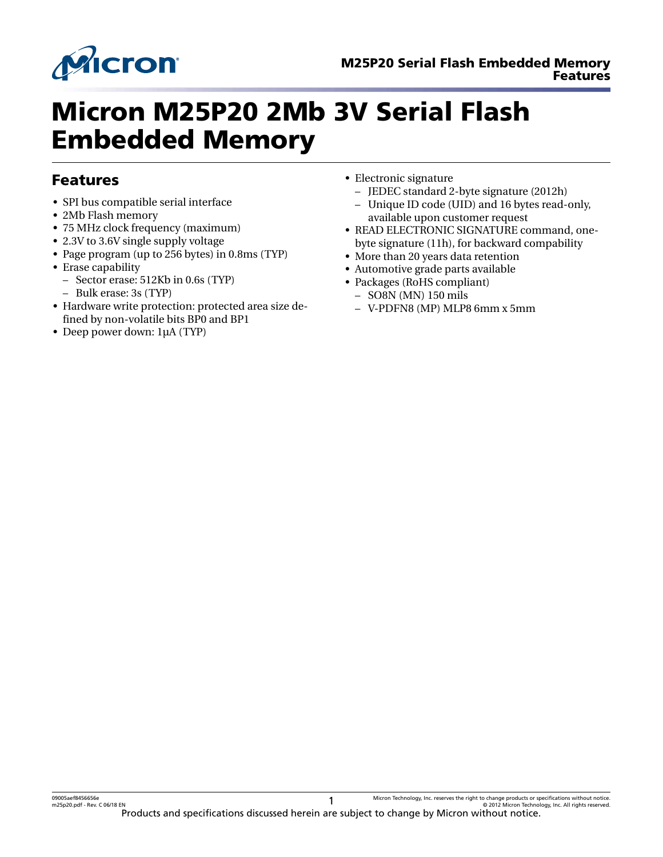

# Micron M25P20 2Mb 3V Serial Flash Embedded Memory

### Features

- SPI bus compatible serial interface
- 2Mb Flash memory
- 75 MHz clock frequency (maximum)
- 2.3V to 3.6V single supply voltage
- Page program (up to 256 bytes) in 0.8ms (TYP)
- Erase capability
- Sector erase: 512Kb in 0.6s (TYP)
	- Bulk erase: 3s (TYP)
- Hardware write protection: protected area size defined by non-volatile bits BP0 and BP1
- Deep power down: 1µA (TYP)
- Electronic signature
	- JEDEC standard 2-byte signature (2012h)
	- Unique ID code (UID) and 16 bytes read-only, available upon customer request
- READ ELECTRONIC SIGNATURE command, onebyte signature (11h), for backward compability
- More than 20 years data retention
- Automotive grade parts available
- Packages (RoHS compliant)
	- SO8N (MN) 150 mils
	- V-PDFN8 (MP) MLP8 6mm x 5mm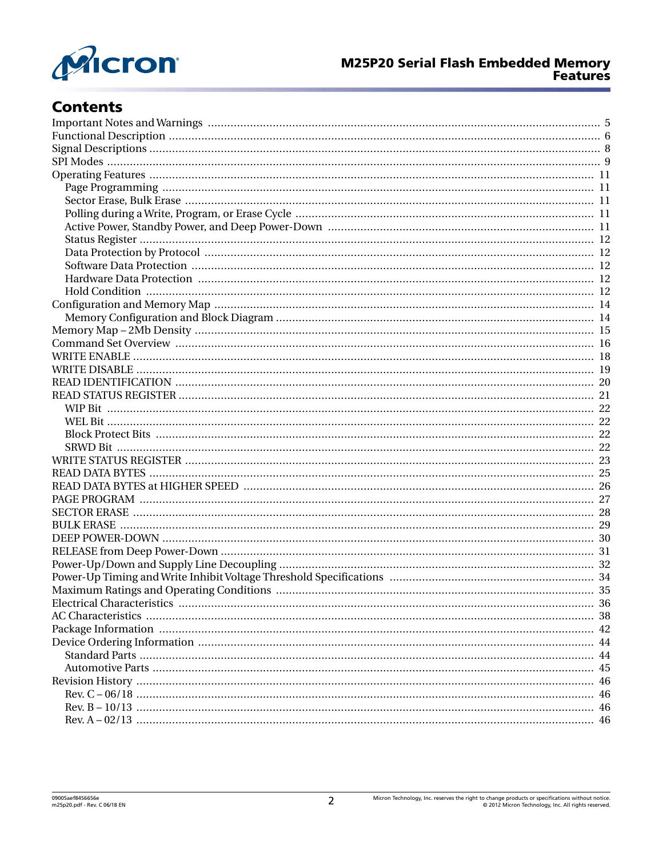

# **Contents**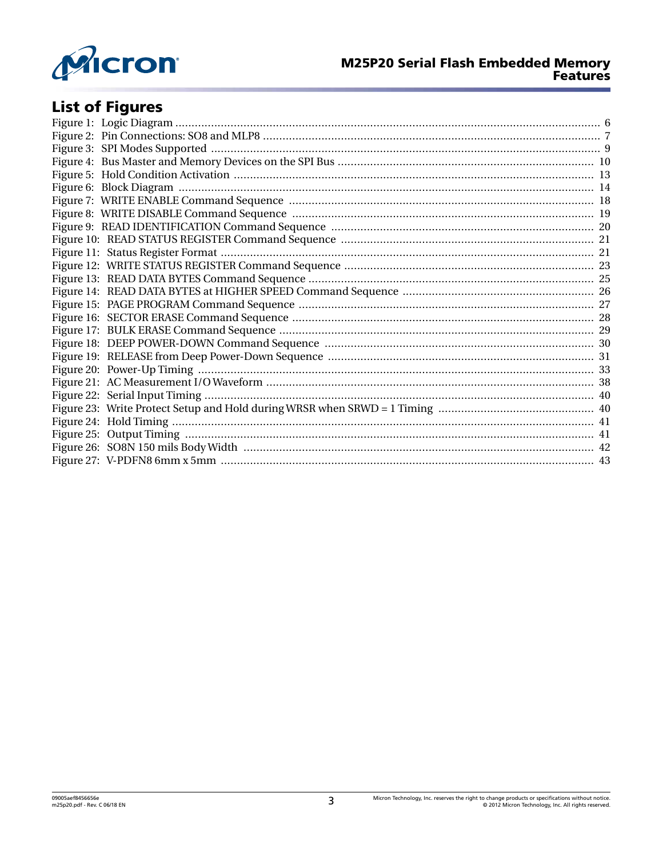

# **List of Figures**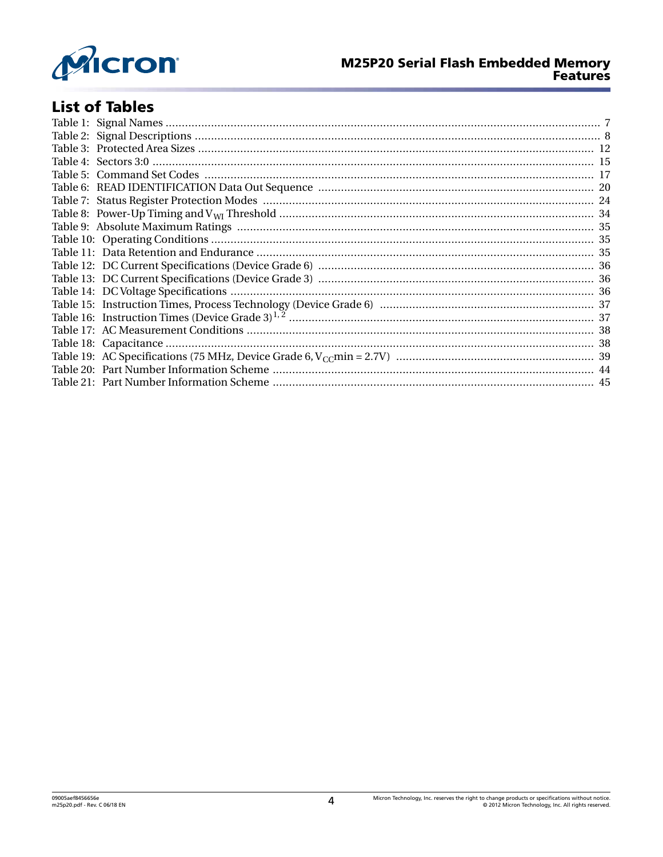

# **List of Tables**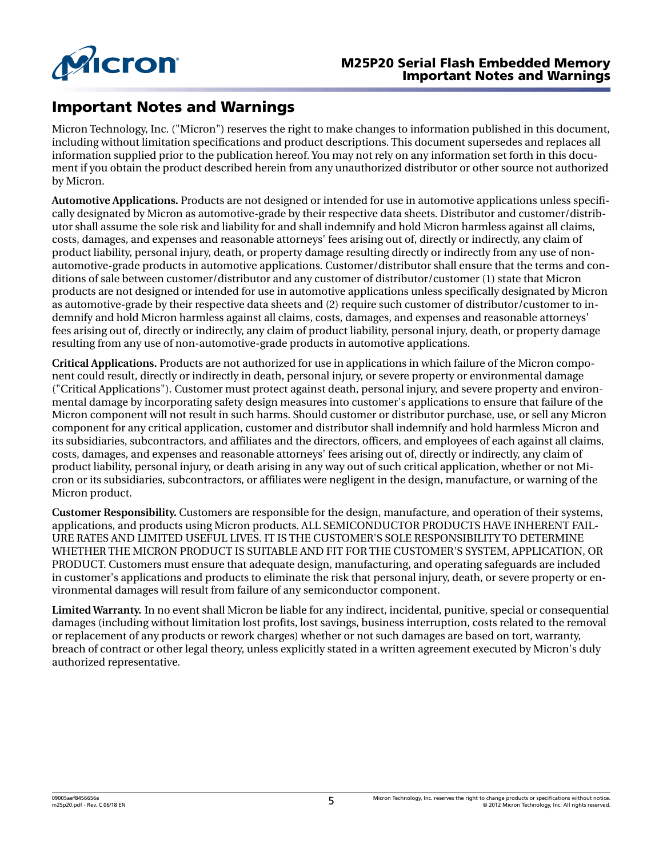<span id="page-4-0"></span>

### Important Notes and Warnings

Micron Technology, Inc. ("Micron") reserves the right to make changes to information published in this document, including without limitation specifications and product descriptions. This document supersedes and replaces all information supplied prior to the publication hereof. You may not rely on any information set forth in this document if you obtain the product described herein from any unauthorized distributor or other source not authorized by Micron.

**Automotive Applications.** Products are not designed or intended for use in automotive applications unless specifically designated by Micron as automotive-grade by their respective data sheets. Distributor and customer/distributor shall assume the sole risk and liability for and shall indemnify and hold Micron harmless against all claims, costs, damages, and expenses and reasonable attorneys' fees arising out of, directly or indirectly, any claim of product liability, personal injury, death, or property damage resulting directly or indirectly from any use of nonautomotive-grade products in automotive applications. Customer/distributor shall ensure that the terms and conditions of sale between customer/distributor and any customer of distributor/customer (1) state that Micron products are not designed or intended for use in automotive applications unless specifically designated by Micron as automotive-grade by their respective data sheets and (2) require such customer of distributor/customer to indemnify and hold Micron harmless against all claims, costs, damages, and expenses and reasonable attorneys' fees arising out of, directly or indirectly, any claim of product liability, personal injury, death, or property damage resulting from any use of non-automotive-grade products in automotive applications.

**Critical Applications.** Products are not authorized for use in applications in which failure of the Micron component could result, directly or indirectly in death, personal injury, or severe property or environmental damage ("Critical Applications"). Customer must protect against death, personal injury, and severe property and environmental damage by incorporating safety design measures into customer's applications to ensure that failure of the Micron component will not result in such harms. Should customer or distributor purchase, use, or sell any Micron component for any critical application, customer and distributor shall indemnify and hold harmless Micron and its subsidiaries, subcontractors, and affiliates and the directors, officers, and employees of each against all claims, costs, damages, and expenses and reasonable attorneys' fees arising out of, directly or indirectly, any claim of product liability, personal injury, or death arising in any way out of such critical application, whether or not Micron or its subsidiaries, subcontractors, or affiliates were negligent in the design, manufacture, or warning of the Micron product.

**Customer Responsibility.** Customers are responsible for the design, manufacture, and operation of their systems, applications, and products using Micron products. ALL SEMICONDUCTOR PRODUCTS HAVE INHERENT FAIL-URE RATES AND LIMITED USEFUL LIVES. IT IS THE CUSTOMER'S SOLE RESPONSIBILITY TO DETERMINE WHETHER THE MICRON PRODUCT IS SUITABLE AND FIT FOR THE CUSTOMER'S SYSTEM, APPLICATION, OR PRODUCT. Customers must ensure that adequate design, manufacturing, and operating safeguards are included in customer's applications and products to eliminate the risk that personal injury, death, or severe property or environmental damages will result from failure of any semiconductor component.

**Limited Warranty.** In no event shall Micron be liable for any indirect, incidental, punitive, special or consequential damages (including without limitation lost profits, lost savings, business interruption, costs related to the removal or replacement of any products or rework charges) whether or not such damages are based on tort, warranty, breach of contract or other legal theory, unless explicitly stated in a written agreement executed by Micron's duly authorized representative.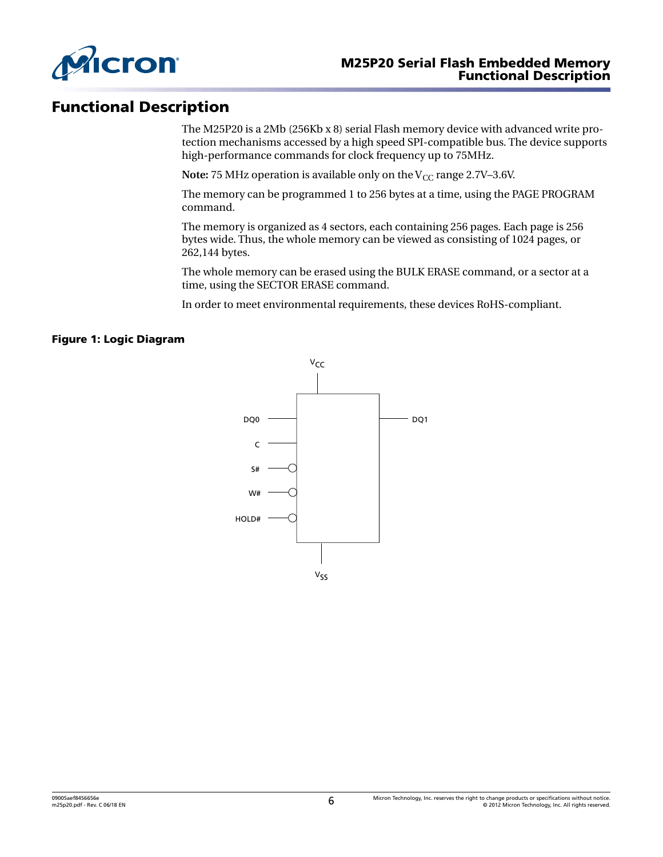<span id="page-5-0"></span>

### Functional Description

The M25P20 is a 2Mb (256Kb x 8) serial Flash memory device with advanced write protection mechanisms accessed by a high speed SPI-compatible bus. The device supports high-performance commands for clock frequency up to 75MHz.

**Note:** 75 MHz operation is available only on the  $V_{CC}$  range 2.7V–3.6V.

The memory can be programmed 1 to 256 bytes at a time, using the PAGE PROGRAM command.

The memory is organized as 4 sectors, each containing 256 pages. Each page is 256 bytes wide. Thus, the whole memory can be viewed as consisting of 1024 pages, or 262,144 bytes.

The whole memory can be erased using the BULK ERASE command, or a sector at a time, using the SECTOR ERASE command.

In order to meet environmental requirements, these devices RoHS-compliant.

### Figure 1: Logic Diagram

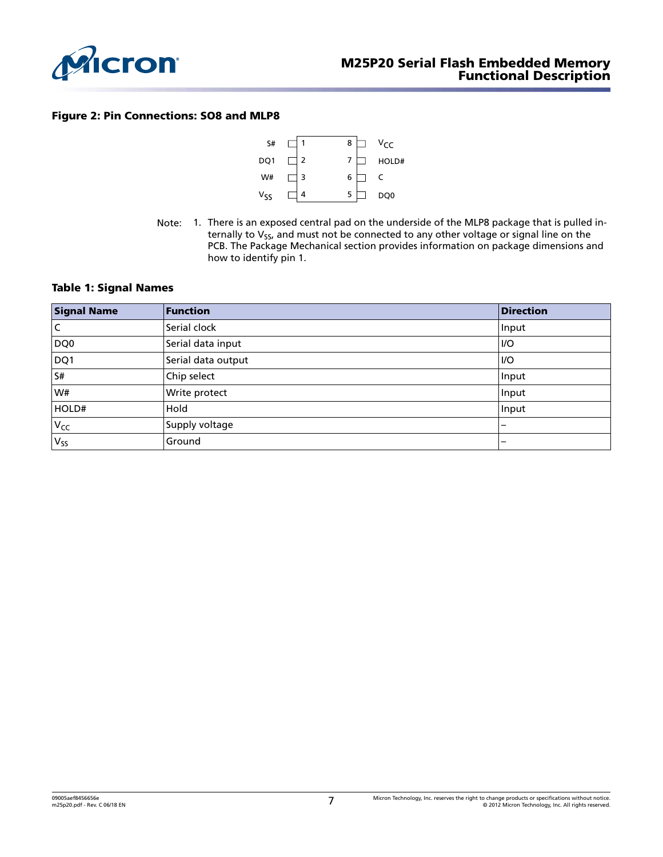<span id="page-6-0"></span>

#### Figure 2: Pin Connections: SO8 and MLP8



Note: 1. There is an exposed central pad on the underside of the MLP8 package that is pulled internally to  $V_{SS}$ , and must not be connected to any other voltage or signal line on the PCB. The Package Mechanical section provides information on package dimensions and how to identify pin 1.

#### Table 1: Signal Names

| <b>Signal Name</b> | Function           | <b>Direction</b> |
|--------------------|--------------------|------------------|
| l C                | Serial clock       | Input            |
| DQ0                | Serial data input  | 1/O              |
| DQ1                | Serial data output | <b>I/O</b>       |
| S#                 | Chip select        | Input            |
| W#                 | Write protect      | Input            |
| HOLD#              | Hold               | Input            |
| $V_{CC}$           | Supply voltage     | -                |
| $V_{SS}$           | Ground             | –                |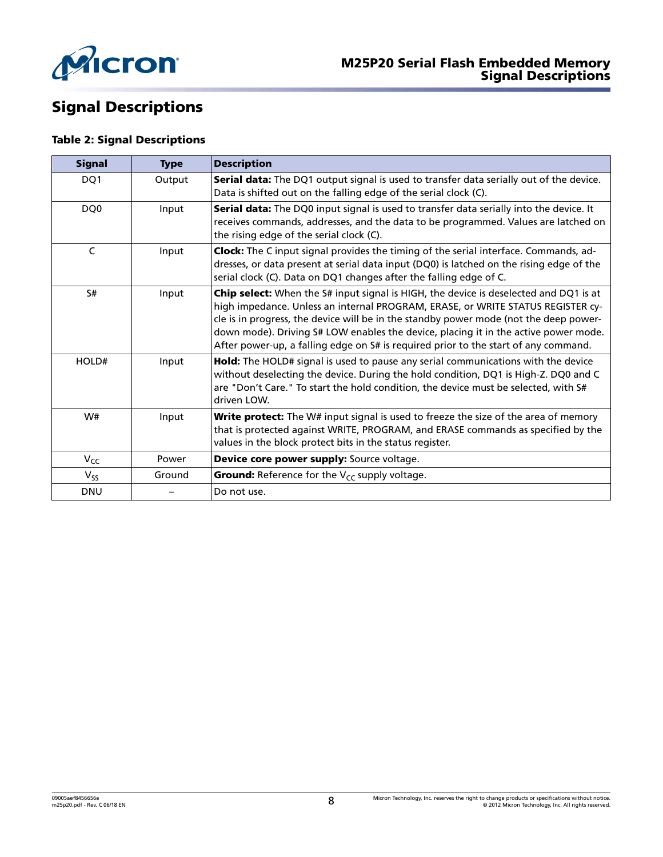<span id="page-7-0"></span>

# Signal Descriptions

### Table 2: Signal Descriptions

| <b>Signal</b>   | <b>Type</b> | <b>Description</b>                                                                                                                                                                                                                                                                                                                                                                                                                              |  |  |
|-----------------|-------------|-------------------------------------------------------------------------------------------------------------------------------------------------------------------------------------------------------------------------------------------------------------------------------------------------------------------------------------------------------------------------------------------------------------------------------------------------|--|--|
| DQ1             | Output      | Serial data: The DQ1 output signal is used to transfer data serially out of the device.<br>Data is shifted out on the falling edge of the serial clock (C).                                                                                                                                                                                                                                                                                     |  |  |
| DQ <sub>0</sub> | Input       | Serial data: The DQ0 input signal is used to transfer data serially into the device. It<br>receives commands, addresses, and the data to be programmed. Values are latched on<br>the rising edge of the serial clock (C).                                                                                                                                                                                                                       |  |  |
| C               | Input       | Clock: The C input signal provides the timing of the serial interface. Commands, ad-<br>dresses, or data present at serial data input (DQ0) is latched on the rising edge of the<br>serial clock (C). Data on DQ1 changes after the falling edge of C.                                                                                                                                                                                          |  |  |
| S#              | Input       | Chip select: When the S# input signal is HIGH, the device is deselected and DQ1 is at<br>high impedance. Unless an internal PROGRAM, ERASE, or WRITE STATUS REGISTER cy-<br>cle is in progress, the device will be in the standby power mode (not the deep power-<br>down mode). Driving S# LOW enables the device, placing it in the active power mode.<br>After power-up, a falling edge on S# is required prior to the start of any command. |  |  |
| HOLD#           | Input       | Hold: The HOLD# signal is used to pause any serial communications with the device<br>without deselecting the device. During the hold condition, DQ1 is High-Z. DQ0 and C<br>are "Don't Care." To start the hold condition, the device must be selected, with S#<br>driven LOW.                                                                                                                                                                  |  |  |
| W#              | Input       | Write protect: The W# input signal is used to freeze the size of the area of memory<br>that is protected against WRITE, PROGRAM, and ERASE commands as specified by the<br>values in the block protect bits in the status register.                                                                                                                                                                                                             |  |  |
| $V_{CC}$        | Power       | Device core power supply: Source voltage.                                                                                                                                                                                                                                                                                                                                                                                                       |  |  |
| $V_{SS}$        | Ground      | <b>Ground:</b> Reference for the V <sub>CC</sub> supply voltage.                                                                                                                                                                                                                                                                                                                                                                                |  |  |
| <b>DNU</b>      |             | Do not use.                                                                                                                                                                                                                                                                                                                                                                                                                                     |  |  |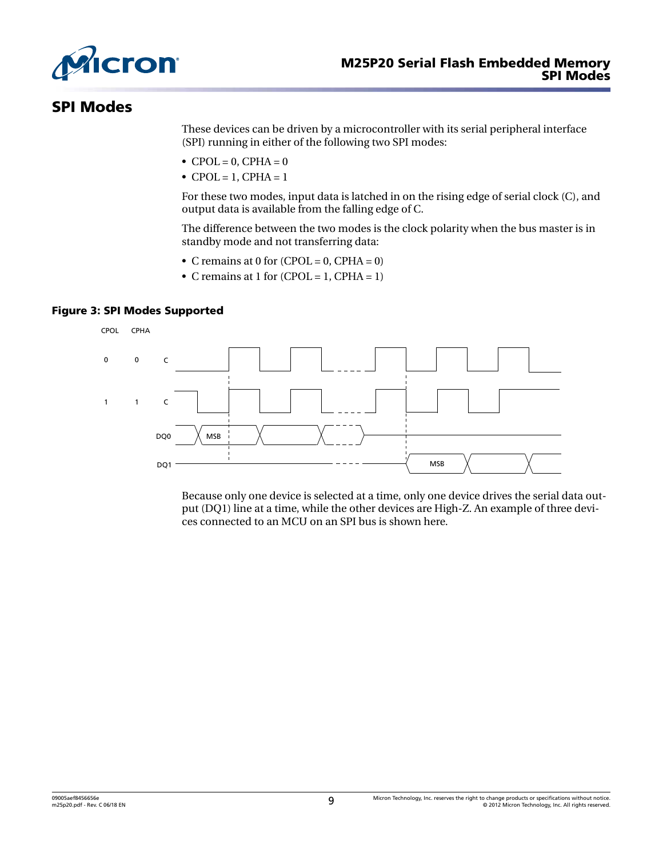<span id="page-8-0"></span>

### SPI Modes

These devices can be driven by a microcontroller with its serial peripheral interface (SPI) running in either of the following two SPI modes:

- $\bullet$  CPOL = 0, CPHA = 0
- CPOL = 1, CPHA =  $1$

For these two modes, input data is latched in on the rising edge of serial clock (C), and output data is available from the falling edge of C.

The difference between the two modes is the clock polarity when the bus master is in standby mode and not transferring data:

- C remains at 0 for  $(CPOL = 0, CPHA = 0)$
- C remains at 1 for  $(CPOL = 1, CPHA = 1)$

### Figure 3: SPI Modes Supported



Because only one device is selected at a time, only one device drives the serial data output (DQ1) line at a time, while the other devices are High-Z. An example of three devices connected to an MCU on an SPI bus is shown here.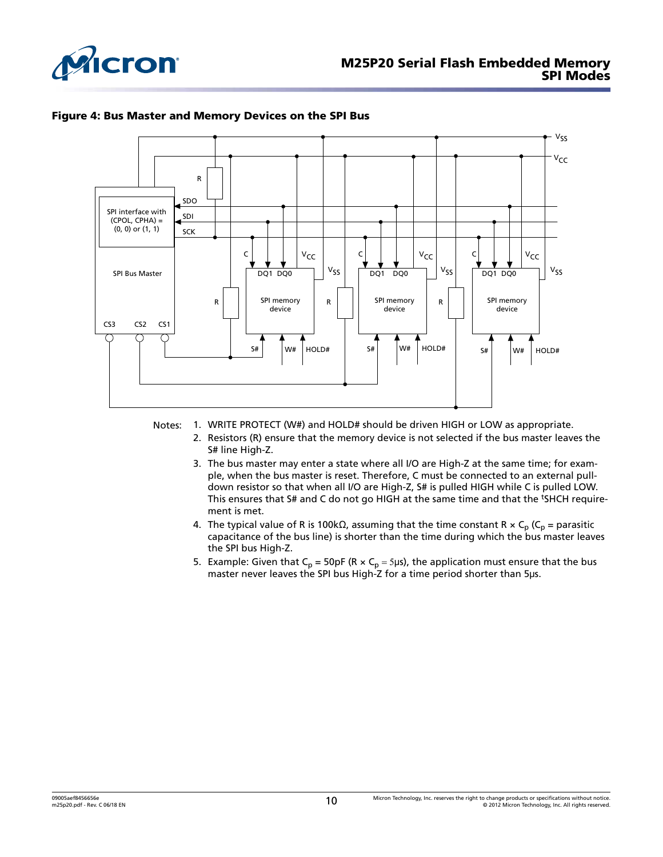<span id="page-9-0"></span>



#### Figure 4: Bus Master and Memory Devices on the SPI Bus

- Notes: 1. WRITE PROTECT (W#) and HOLD# should be driven HIGH or LOW as appropriate.
	- 2. Resistors (R) ensure that the memory device is not selected if the bus master leaves the S# line High-Z.
	- 3. The bus master may enter a state where all I/O are High-Z at the same time; for example, when the bus master is reset. Therefore, C must be connected to an external pulldown resistor so that when all I/O are High-Z, S# is pulled HIGH while C is pulled LOW. This ensures that S# and C do not go HIGH at the same time and that the <sup>t</sup>SHCH requirement is met.
	- 4. The typical value of R is 100kΩ, assuming that the time constant R  $\times$  C<sub>p</sub> (C<sub>p</sub> = parasitic capacitance of the bus line) is shorter than the time during which the bus master leaves the SPI bus High-Z.
	- 5. Example: Given that  $C_p$  = 50pF (R  $\times$   $C_p$  = 5µs), the application must ensure that the bus master never leaves the SPI bus High-Z for a time period shorter than 5μs.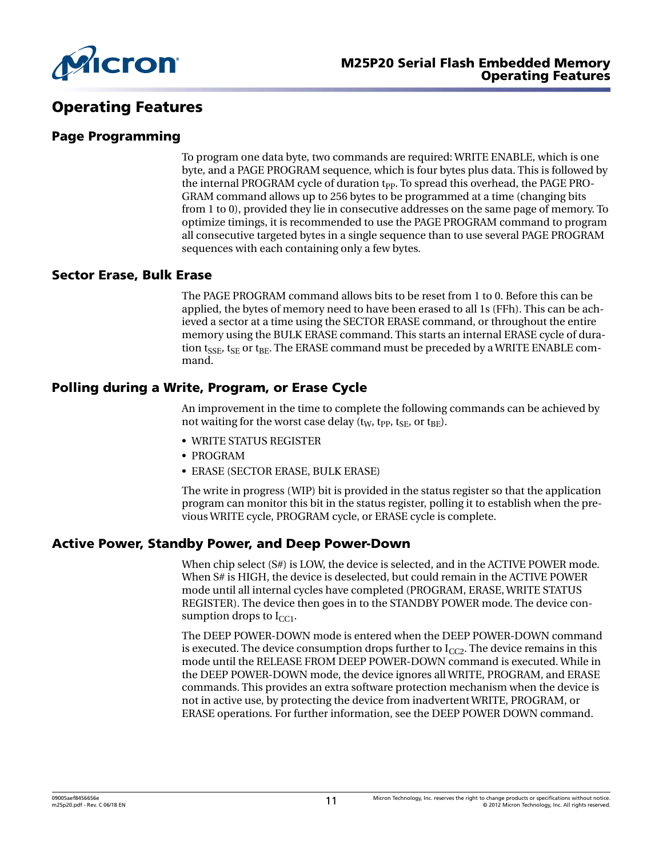<span id="page-10-0"></span>

### Operating Features

### Page Programming

To program one data byte, two commands are required: WRITE ENABLE, which is one byte, and a PAGE PROGRAM sequence, which is four bytes plus data. This is followed by the internal PROGRAM cycle of duration t<sub>PP</sub>. To spread this overhead, the PAGE PRO-GRAM command allows up to 256 bytes to be programmed at a time (changing bits from 1 to 0), provided they lie in consecutive addresses on the same page of memory. To optimize timings, it is recommended to use the PAGE PROGRAM command to program all consecutive targeted bytes in a single sequence than to use several PAGE PROGRAM sequences with each containing only a few bytes.

### Sector Erase, Bulk Erase

The PAGE PROGRAM command allows bits to be reset from 1 to 0. Before this can be applied, the bytes of memory need to have been erased to all 1s (FFh). This can be achieved a sector at a time using the SECTOR ERASE command, or throughout the entire memory using the BULK ERASE command. This starts an internal ERASE cycle of duration  $t_{\text{SSE}}$ ,  $t_{\text{SE}}$  or  $t_{\text{BE}}$ . The ERASE command must be preceded by a WRITE ENABLE command.

### Polling during a Write, Program, or Erase Cycle

An improvement in the time to complete the following commands can be achieved by not waiting for the worst case delay ( $t<sub>W</sub>$ ,  $t<sub>PP</sub>$ ,  $t<sub>SE</sub>$ , or  $t<sub>BE</sub>$ ).

- WRITE STATUS REGISTER
- PROGRAM
- ERASE (SECTOR ERASE, BULK ERASE)

The write in progress (WIP) bit is provided in the status register so that the application program can monitor this bit in the status register, polling it to establish when the previous WRITE cycle, PROGRAM cycle, or ERASE cycle is complete.

### Active Power, Standby Power, and Deep Power-Down

When chip select (S#) is LOW, the device is selected, and in the ACTIVE POWER mode. When S# is HIGH, the device is deselected, but could remain in the ACTIVE POWER mode until all internal cycles have completed (PROGRAM, ERASE, WRITE STATUS REGISTER). The device then goes in to the STANDBY POWER mode. The device consumption drops to  $I_{CC1}$ .

The DEEP POWER-DOWN mode is entered when the DEEP POWER-DOWN command is executed. The device consumption drops further to  $I_{CC2}$ . The device remains in this mode until the RELEASE FROM DEEP POWER-DOWN command is executed. While in the DEEP POWER-DOWN mode, the device ignores all WRITE, PROGRAM, and ERASE commands. This provides an extra software protection mechanism when the device is not in active use, by protecting the device from inadvertent WRITE, PROGRAM, or ERASE operations. For further information, see the DEEP POWER DOWN command.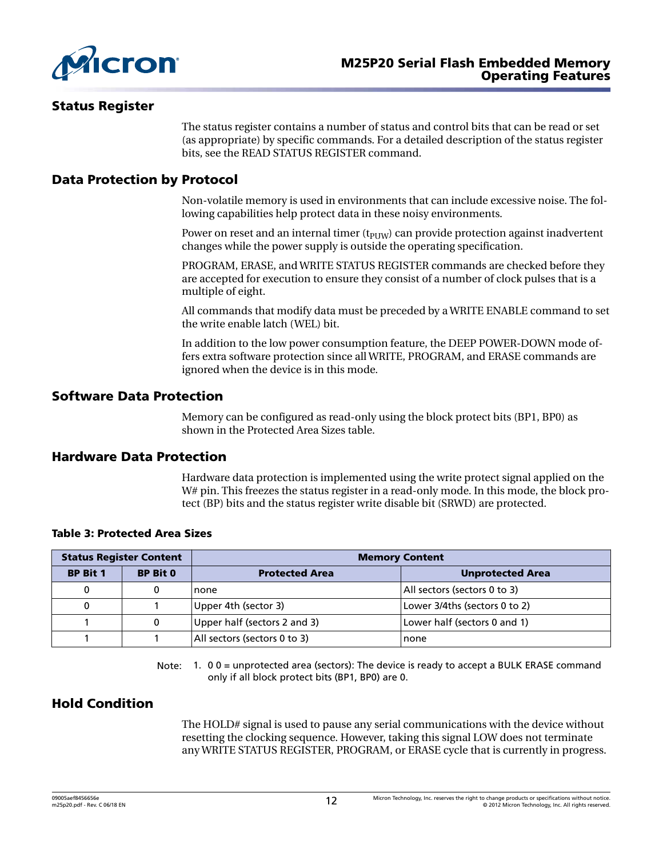<span id="page-11-0"></span>

### Status Register

The status register contains a number of status and control bits that can be read or set (as appropriate) by specific commands. For a detailed description of the status register bits, see the READ STATUS REGISTER command.

### Data Protection by Protocol

Non-volatile memory is used in environments that can include excessive noise. The following capabilities help protect data in these noisy environments.

Power on reset and an internal timer  $(t_{\text{PIW}})$  can provide protection against inadvertent changes while the power supply is outside the operating specification.

PROGRAM, ERASE, and WRITE STATUS REGISTER commands are checked before they are accepted for execution to ensure they consist of a number of clock pulses that is a multiple of eight.

All commands that modify data must be preceded by a WRITE ENABLE command to set the write enable latch (WEL) bit.

In addition to the low power consumption feature, the DEEP POWER-DOWN mode offers extra software protection since all WRITE, PROGRAM, and ERASE commands are ignored when the device is in this mode.

### Software Data Protection

Memory can be configured as read-only using the block protect bits (BP1, BP0) as shown in the Protected Area Sizes table.

### Hardware Data Protection

Hardware data protection is implemented using the write protect signal applied on the W# pin. This freezes the status register in a read-only mode. In this mode, the block protect (BP) bits and the status register write disable bit (SRWD) are protected.

| <b>Status Register Content</b> |                 | <b>Memory Content</b>                                        |                              |  |
|--------------------------------|-----------------|--------------------------------------------------------------|------------------------------|--|
| <b>BP Bit 1</b>                | <b>BP Bit 0</b> | <b>Protected Area</b>                                        | <b>Unprotected Area</b>      |  |
|                                |                 | none                                                         | All sectors (sectors 0 to 3) |  |
|                                |                 | Lower 3/4ths (sectors 0 to 2)<br>Upper 4th (sector 3)        |                              |  |
|                                | 0               | Upper half (sectors 2 and 3)<br>Lower half (sectors 0 and 1) |                              |  |
|                                |                 | All sectors (sectors 0 to 3)<br>none                         |                              |  |

#### Table 3: Protected Area Sizes

Note: 1. 0 0 = unprotected area (sectors): The device is ready to accept a BULK ERASE command only if all block protect bits (BP1, BP0) are 0.

### Hold Condition

The HOLD# signal is used to pause any serial communications with the device without resetting the clocking sequence. However, taking this signal LOW does not terminate any WRITE STATUS REGISTER, PROGRAM, or ERASE cycle that is currently in progress.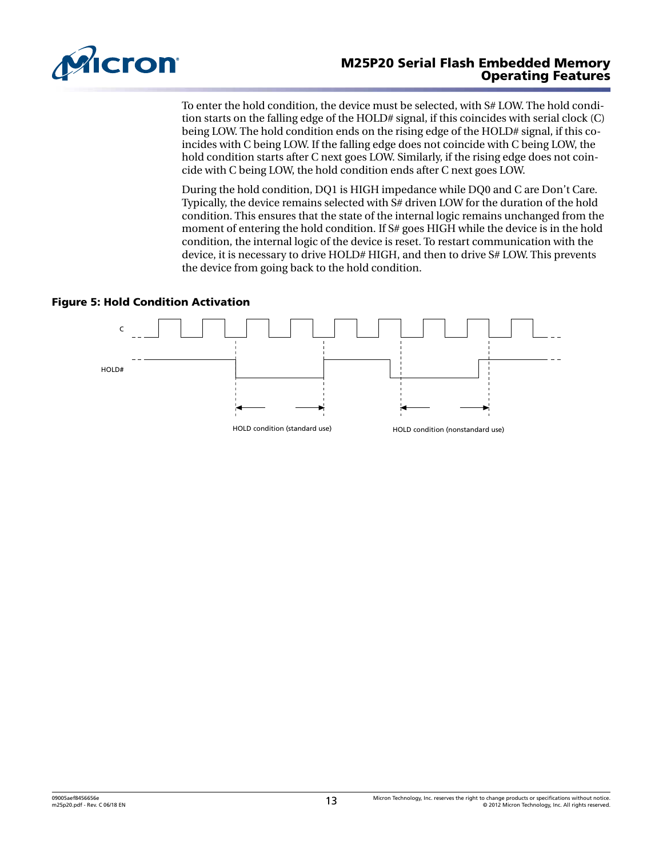<span id="page-12-0"></span>

### M25P20 Serial Flash Embedded Memory Operating Features

To enter the hold condition, the device must be selected, with S# LOW. The hold condition starts on the falling edge of the HOLD# signal, if this coincides with serial clock (C) being LOW. The hold condition ends on the rising edge of the HOLD# signal, if this coincides with C being LOW. If the falling edge does not coincide with C being LOW, the hold condition starts after C next goes LOW. Similarly, if the rising edge does not coincide with C being LOW, the hold condition ends after C next goes LOW.

During the hold condition, DQ1 is HIGH impedance while DQ0 and C are Don't Care. Typically, the device remains selected with S# driven LOW for the duration of the hold condition. This ensures that the state of the internal logic remains unchanged from the moment of entering the hold condition. If S# goes HIGH while the device is in the hold condition, the internal logic of the device is reset. To restart communication with the device, it is necessary to drive HOLD# HIGH, and then to drive S# LOW. This prevents the device from going back to the hold condition.

#### Figure 5: Hold Condition Activation

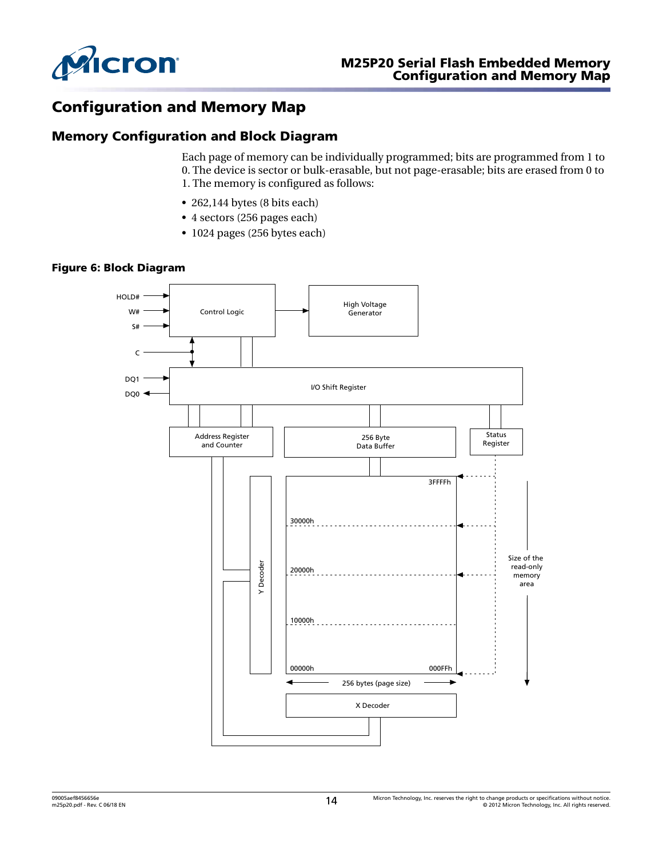<span id="page-13-0"></span>

### Configuration and Memory Map

### Memory Configuration and Block Diagram

Each page of memory can be individually programmed; bits are programmed from 1 to 0. The device is sector or bulk-erasable, but not page-erasable; bits are erased from 0 to 1. The memory is configured as follows:

- 262,144 bytes (8 bits each)
- 4 sectors (256 pages each)
- 1024 pages (256 bytes each)

#### Figure 6: Block Diagram

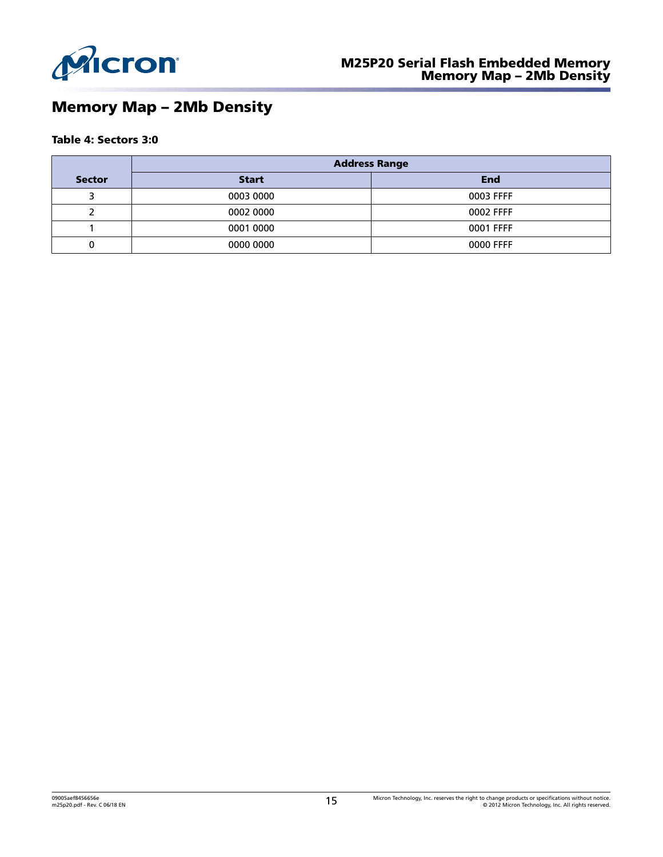<span id="page-14-0"></span>

# Memory Map – 2Mb Density

### Table 4: Sectors 3:0

|               | <b>Address Range</b> |           |  |  |  |
|---------------|----------------------|-----------|--|--|--|
| <b>Sector</b> | Start                | End       |  |  |  |
|               | 0003 0000            | 0003 FFFF |  |  |  |
|               | 0002 0000            | 0002 FFFF |  |  |  |
|               | 0001 0000            | 0001 FFFF |  |  |  |
|               | 0000 0000            | 0000 FFFF |  |  |  |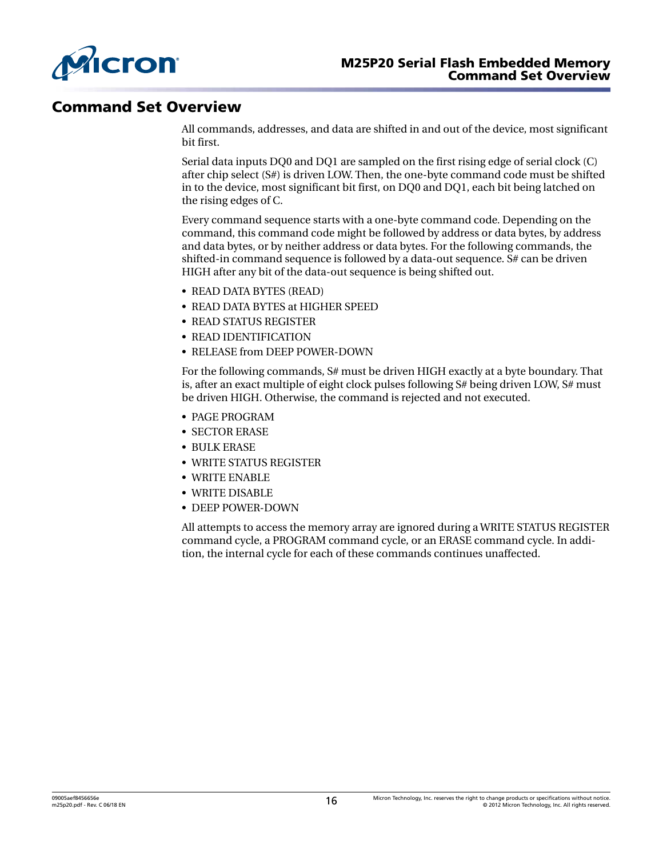<span id="page-15-0"></span>

### Command Set Overview

All commands, addresses, and data are shifted in and out of the device, most significant bit first.

Serial data inputs DQ0 and DQ1 are sampled on the first rising edge of serial clock (C) after chip select (S#) is driven LOW. Then, the one-byte command code must be shifted in to the device, most significant bit first, on DQ0 and DQ1, each bit being latched on the rising edges of C.

Every command sequence starts with a one-byte command code. Depending on the command, this command code might be followed by address or data bytes, by address and data bytes, or by neither address or data bytes. For the following commands, the shifted-in command sequence is followed by a data-out sequence. S# can be driven HIGH after any bit of the data-out sequence is being shifted out.

- READ DATA BYTES (READ)
- READ DATA BYTES at HIGHER SPEED
- READ STATUS REGISTER
- READ IDENTIFICATION
- RELEASE from DEEP POWER-DOWN

For the following commands, S# must be driven HIGH exactly at a byte boundary. That is, after an exact multiple of eight clock pulses following S# being driven LOW, S# must be driven HIGH. Otherwise, the command is rejected and not executed.

- PAGE PROGRAM
- SECTOR ERASE
- BULK ERASE
- WRITE STATUS REGISTER
- WRITE ENABLE
- WRITE DISABLE
- DEEP POWER-DOWN

All attempts to access the memory array are ignored during a WRITE STATUS REGISTER command cycle, a PROGRAM command cycle, or an ERASE command cycle. In addition, the internal cycle for each of these commands continues unaffected.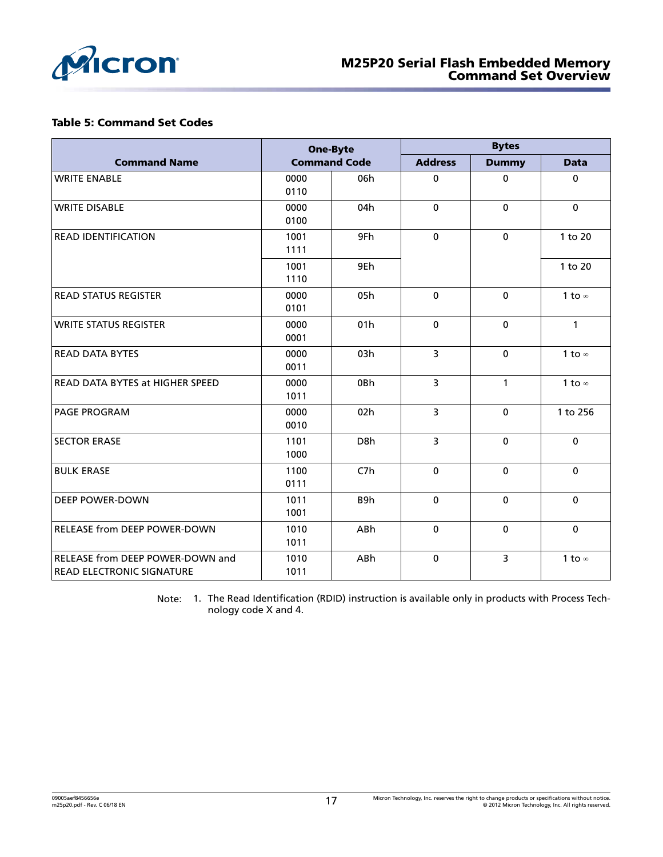<span id="page-16-0"></span>

### Table 5: Command Set Codes

|                                                                      | <b>One-Byte</b><br><b>Command Code</b> |                  | <b>Bytes</b>   |              |               |
|----------------------------------------------------------------------|----------------------------------------|------------------|----------------|--------------|---------------|
| <b>Command Name</b>                                                  |                                        |                  | <b>Address</b> | <b>Dummy</b> | <b>Data</b>   |
| <b>WRITE ENABLE</b>                                                  | 0000<br>0110                           | 06h              | 0              | 0            | 0             |
| <b>WRITE DISABLE</b>                                                 | 0000<br>0100                           | 04h              | $\mathbf 0$    | $\mathbf 0$  | 0             |
| <b>READ IDENTIFICATION</b>                                           | 1001<br>1111                           | 9Fh              | $\mathbf 0$    | $\mathbf 0$  | 1 to 20       |
|                                                                      | 1001<br>1110                           | 9Eh              |                |              | 1 to 20       |
| <b>READ STATUS REGISTER</b>                                          | 0000<br>0101                           | 05h              | $\mathbf 0$    | $\mathbf 0$  | 1 to $\infty$ |
| <b>WRITE STATUS REGISTER</b>                                         | 0000<br>0001                           | 01h              | $\mathbf 0$    | $\mathbf 0$  | $\mathbf{1}$  |
| <b>READ DATA BYTES</b>                                               | 0000<br>0011                           | 03h              | 3              | $\mathbf 0$  | 1 to $\infty$ |
| <b>READ DATA BYTES at HIGHER SPEED</b>                               | 0000<br>1011                           | 0Bh              | $\overline{3}$ | $\mathbf{1}$ | 1 to $\infty$ |
| <b>PAGE PROGRAM</b>                                                  | 0000<br>0010                           | 02h              | $\overline{3}$ | $\mathbf 0$  | 1 to 256      |
| <b>SECTOR ERASE</b>                                                  | 1101<br>1000                           | D <sub>8</sub> h | $\overline{3}$ | $\mathbf 0$  | $\mathbf 0$   |
| <b>BULK ERASE</b>                                                    | 1100<br>0111                           | C <sub>7</sub> h | $\mathbf 0$    | $\mathbf 0$  | 0             |
| <b>DEEP POWER-DOWN</b>                                               | 1011<br>1001                           | B9h              | $\mathbf 0$    | $\mathbf 0$  | 0             |
| <b>RELEASE from DEEP POWER-DOWN</b>                                  | 1010<br>1011                           | ABh              | $\mathbf 0$    | $\mathbf 0$  | $\mathbf 0$   |
| RELEASE from DEEP POWER-DOWN and<br><b>READ ELECTRONIC SIGNATURE</b> | 1010<br>1011                           | ABh              | $\mathbf 0$    | 3            | 1 to $\infty$ |

Note: 1. The Read Identification (RDID) instruction is available only in products with Process Technology code X and 4.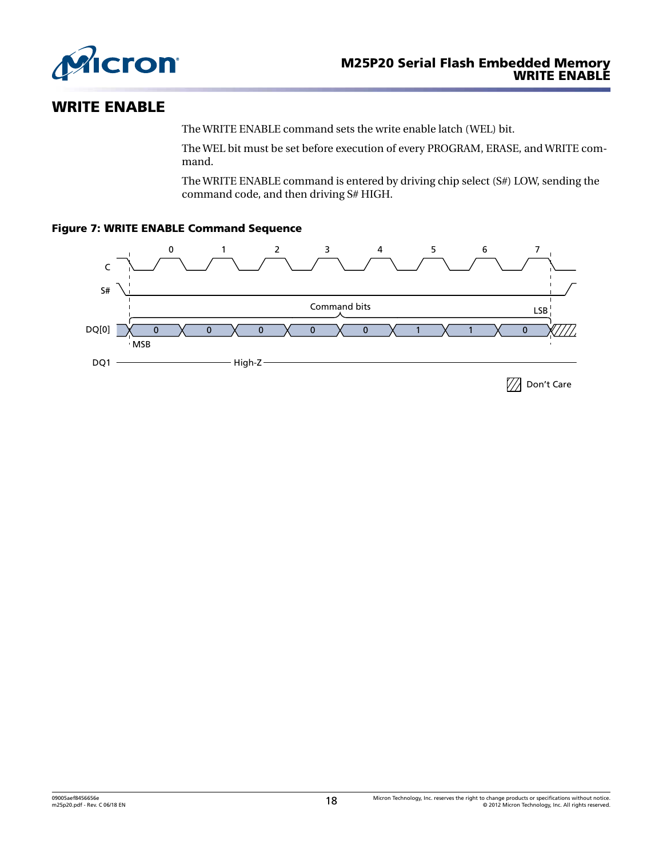<span id="page-17-0"></span>

### WRITE ENABLE

The WRITE ENABLE command sets the write enable latch (WEL) bit.

The WEL bit must be set before execution of every PROGRAM, ERASE, and WRITE command.

The WRITE ENABLE command is entered by driving chip select (S#) LOW, sending the command code, and then driving S# HIGH.

### Figure 7: WRITE ENABLE Command Sequence

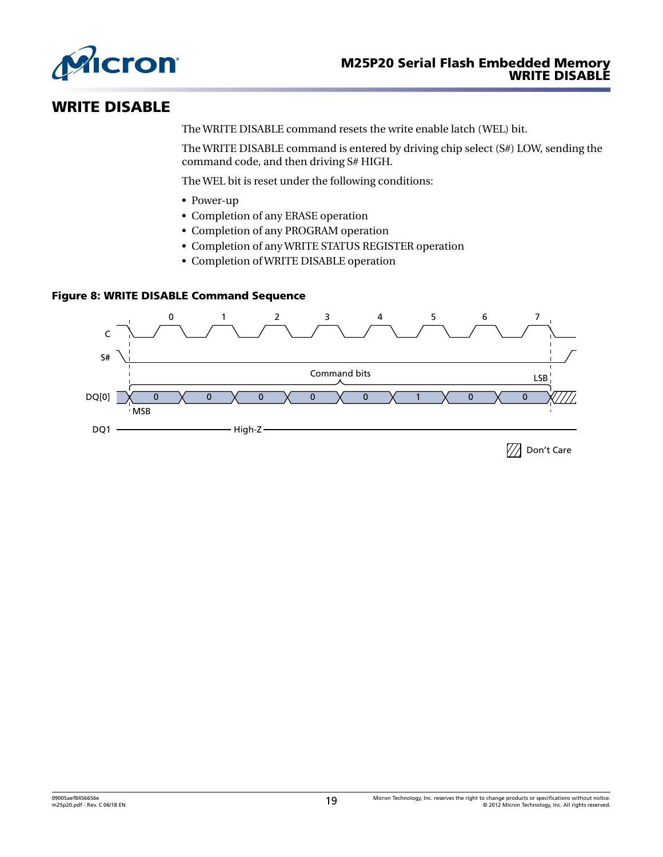<span id="page-18-0"></span>

### WRITE DISABLE

The WRITE DISABLE command resets the write enable latch (WEL) bit.

The WRITE DISABLE command is entered by driving chip select (S#) LOW, sending the command code, and then driving S# HIGH.

The WEL bit is reset under the following conditions:

- Power-up
- Completion of any ERASE operation
- Completion of any PROGRAM operation
- Completion of any WRITE STATUS REGISTER operation
- Completion of WRITE DISABLE operation

### Figure 8: WRITE DISABLE Command Sequence

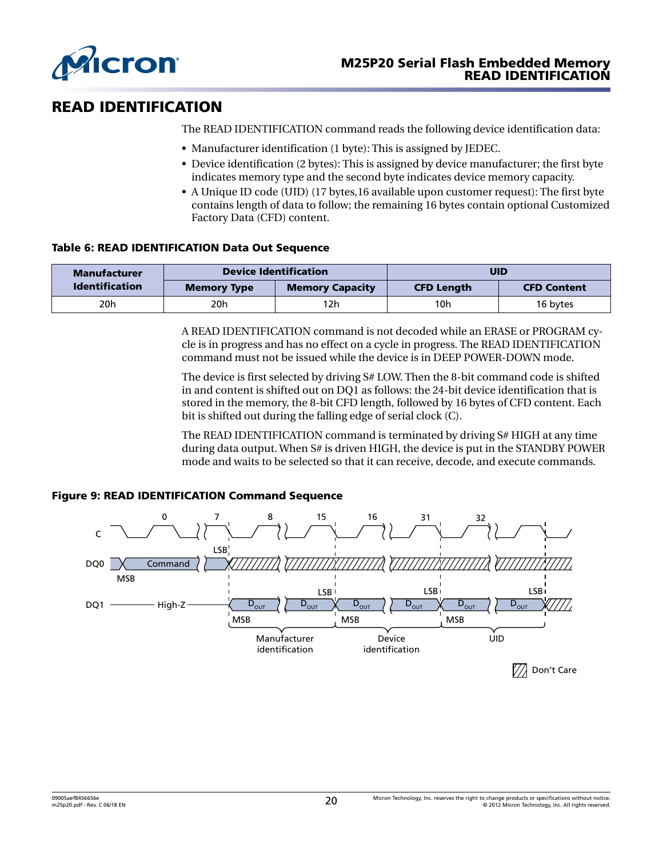<span id="page-19-0"></span>

# READ IDENTIFICATION

The READ IDENTIFICATION command reads the following device identification data:

- Manufacturer identification (1 byte): This is assigned by JEDEC.
- Device identification (2 bytes): This is assigned by device manufacturer; the first byte indicates memory type and the second byte indicates device memory capacity.
- A Unique ID code (UID) (17 bytes,16 available upon customer request): The first byte contains length of data to follow; the remaining 16 bytes contain optional Customized Factory Data (CFD) content.

### Table 6: READ IDENTIFICATION Data Out Sequence

| <b>Manufacturer</b>   | <b>Device Identification</b> |                        | UID               |                    |
|-----------------------|------------------------------|------------------------|-------------------|--------------------|
| <b>Identification</b> | <b>Memory Type</b>           | <b>Memory Capacity</b> | <b>CFD Length</b> | <b>CFD Content</b> |
| 20h<br>20h            |                              | 12h.                   | 10h               | 16 bytes           |

A READ IDENTIFICATION command is not decoded while an ERASE or PROGRAM cycle is in progress and has no effect on a cycle in progress. The READ IDENTIFICATION command must not be issued while the device is in DEEP POWER-DOWN mode.

The device is first selected by driving S# LOW. Then the 8-bit command code is shifted in and content is shifted out on DQ1 as follows: the 24-bit device identification that is stored in the memory, the 8-bit CFD length, followed by 16 bytes of CFD content. Each bit is shifted out during the falling edge of serial clock (C).

The READ IDENTIFICATION command is terminated by driving S# HIGH at any time during data output. When S# is driven HIGH, the device is put in the STANDBY POWER mode and waits to be selected so that it can receive, decode, and execute commands.

### Figure 9: READ IDENTIFICATION Command Sequence

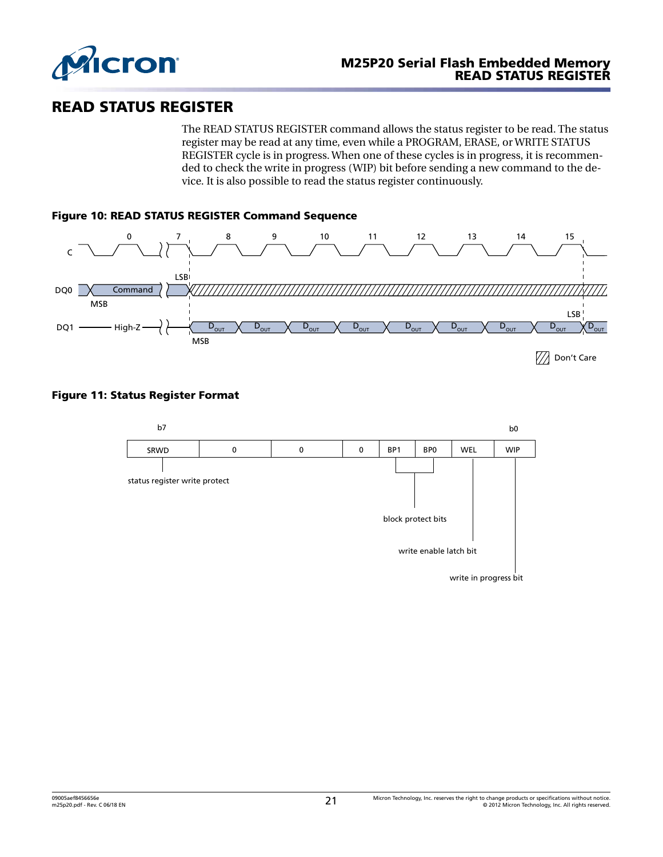<span id="page-20-0"></span>

### READ STATUS REGISTER

The READ STATUS REGISTER command allows the status register to be read. The status register may be read at any time, even while a PROGRAM, ERASE, or WRITE STATUS REGISTER cycle is in progress. When one of these cycles is in progress, it is recommended to check the write in progress (WIP) bit before sending a new command to the device. It is also possible to read the status register continuously.



### Figure 11: Status Register Format

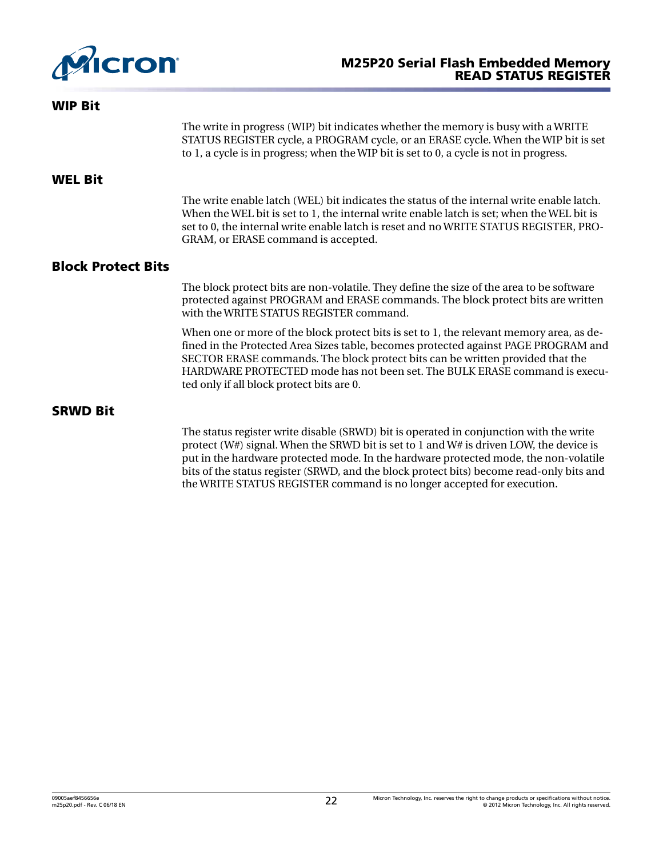<span id="page-21-0"></span>

| <b>WIP Bit</b>            |                                                                                                                                                                                                                                                                                                                                                                                              |
|---------------------------|----------------------------------------------------------------------------------------------------------------------------------------------------------------------------------------------------------------------------------------------------------------------------------------------------------------------------------------------------------------------------------------------|
|                           | The write in progress (WIP) bit indicates whether the memory is busy with a WRITE<br>STATUS REGISTER cycle, a PROGRAM cycle, or an ERASE cycle. When the WIP bit is set<br>to 1, a cycle is in progress; when the WIP bit is set to 0, a cycle is not in progress.                                                                                                                           |
| <b>WEL Bit</b>            |                                                                                                                                                                                                                                                                                                                                                                                              |
|                           | The write enable latch (WEL) bit indicates the status of the internal write enable latch.<br>When the WEL bit is set to 1, the internal write enable latch is set; when the WEL bit is<br>set to 0, the internal write enable latch is reset and no WRITE STATUS REGISTER, PRO-<br>GRAM, or ERASE command is accepted.                                                                       |
| <b>Block Protect Bits</b> |                                                                                                                                                                                                                                                                                                                                                                                              |
|                           | The block protect bits are non-volatile. They define the size of the area to be software<br>protected against PROGRAM and ERASE commands. The block protect bits are written<br>with the WRITE STATUS REGISTER command.                                                                                                                                                                      |
|                           | When one or more of the block protect bits is set to 1, the relevant memory area, as de-<br>fined in the Protected Area Sizes table, becomes protected against PAGE PROGRAM and<br>SECTOR ERASE commands. The block protect bits can be written provided that the<br>HARDWARE PROTECTED mode has not been set. The BULK ERASE command is execu-<br>ted only if all block protect bits are 0. |
| <b>SRWD Bit</b>           |                                                                                                                                                                                                                                                                                                                                                                                              |
|                           | The status register write disable (SRWD) bit is operated in conjunction with the write<br>protect (W#) signal. When the SRWD bit is set to 1 and W# is driven LOW, the device is<br>put in the hardware protected mode. In the hardware protected mode, the non-volatile<br>bits of the status register (SRWD, and the block protect bits) become read-only bits and                         |

the WRITE STATUS REGISTER command is no longer accepted for execution.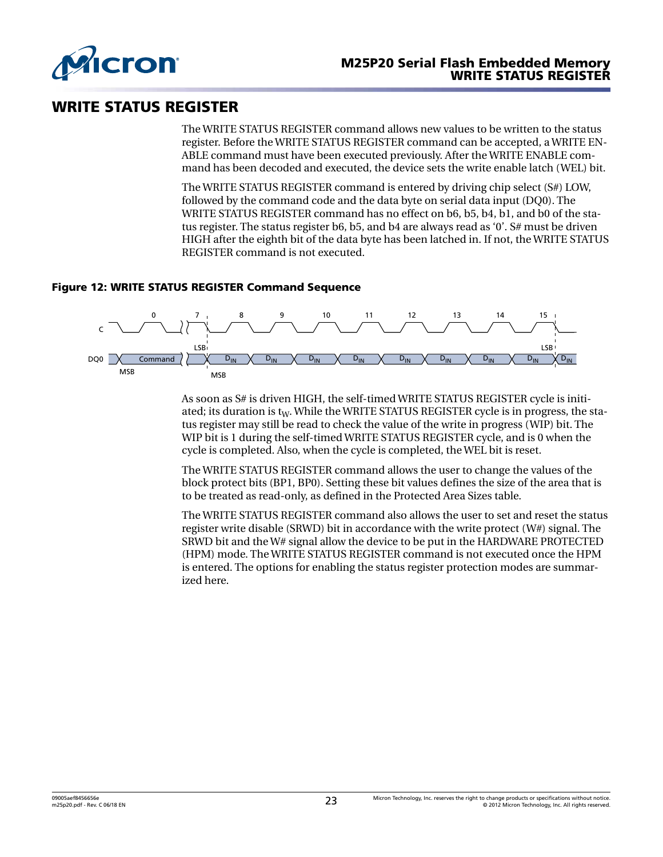<span id="page-22-0"></span>

### WRITE STATUS REGISTER

The WRITE STATUS REGISTER command allows new values to be written to the status register. Before the WRITE STATUS REGISTER command can be accepted, a WRITE EN-ABLE command must have been executed previously. After the WRITE ENABLE command has been decoded and executed, the device sets the write enable latch (WEL) bit.

The WRITE STATUS REGISTER command is entered by driving chip select (S#) LOW, followed by the command code and the data byte on serial data input (DQ0). The WRITE STATUS REGISTER command has no effect on b6, b5, b4, b1, and b0 of the status register. The status register b6, b5, and b4 are always read as '0'. S# must be driven HIGH after the eighth bit of the data byte has been latched in. If not, the WRITE STATUS REGISTER command is not executed.

### Figure 12: WRITE STATUS REGISTER Command Sequence



As soon as S# is driven HIGH, the self-timed WRITE STATUS REGISTER cycle is initiated; its duration is  $t_W$ . While the WRITE STATUS REGISTER cycle is in progress, the status register may still be read to check the value of the write in progress (WIP) bit. The WIP bit is 1 during the self-timed WRITE STATUS REGISTER cycle, and is 0 when the cycle is completed. Also, when the cycle is completed, the WEL bit is reset.

The WRITE STATUS REGISTER command allows the user to change the values of the block protect bits (BP1, BP0). Setting these bit values defines the size of the area that is to be treated as read-only, as defined in the Protected Area Sizes table.

The WRITE STATUS REGISTER command also allows the user to set and reset the status register write disable (SRWD) bit in accordance with the write protect (W#) signal. The SRWD bit and the W# signal allow the device to be put in the HARDWARE PROTECTED (HPM) mode. The WRITE STATUS REGISTER command is not executed once the HPM is entered. The options for enabling the status register protection modes are summarized here.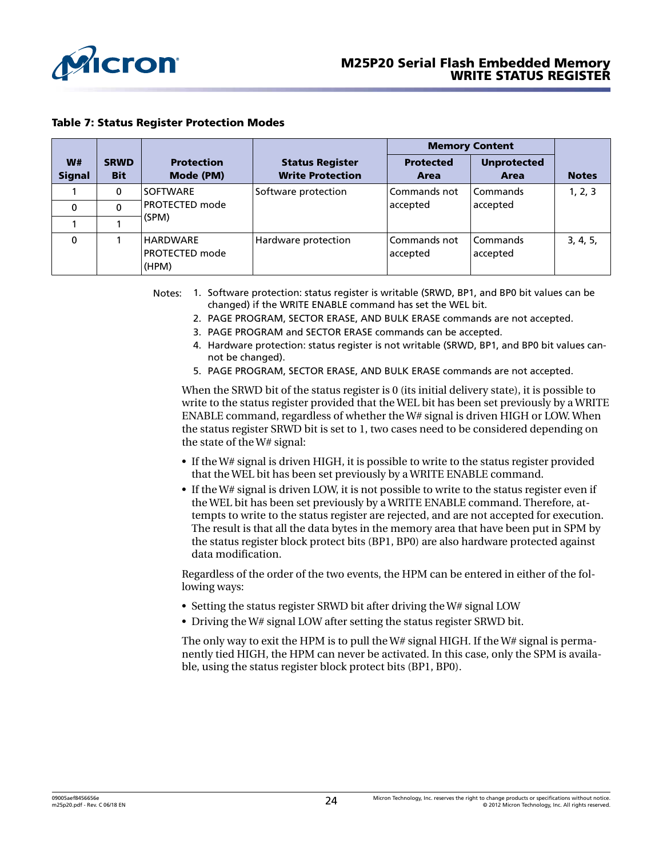<span id="page-23-0"></span>

#### Table 7: Status Register Protection Modes

|                     |                           |                                            |                                                   | <b>Memory Content</b>    |                            |              |
|---------------------|---------------------------|--------------------------------------------|---------------------------------------------------|--------------------------|----------------------------|--------------|
| W#<br><b>Signal</b> | <b>SRWD</b><br><b>Bit</b> | <b>Protection</b><br>Mode (PM)             | <b>Status Register</b><br><b>Write Protection</b> | <b>Protected</b><br>Area | <b>Unprotected</b><br>Area | <b>Notes</b> |
|                     | 0                         | <b>SOFTWARE</b>                            | Software protection                               | Commands not             | Commands                   | 1, 2, 3      |
| 0                   | 0                         | <b>PROTECTED mode</b>                      |                                                   | accepted                 | accepted                   |              |
|                     |                           | (SPM)                                      |                                                   |                          |                            |              |
| $\Omega$            |                           | HARDWARE<br><b>PROTECTED mode</b><br>(HPM) | Hardware protection                               | Commands not<br>accepted | Commands<br>accepted       | 3, 4, 5,     |

Notes: 1. Software protection: status register is writable (SRWD, BP1, and BP0 bit values can be changed) if the WRITE ENABLE command has set the WEL bit.

- 2. PAGE PROGRAM, SECTOR ERASE, AND BULK ERASE commands are not accepted.
- 3. PAGE PROGRAM and SECTOR ERASE commands can be accepted.
- 4. Hardware protection: status register is not writable (SRWD, BP1, and BP0 bit values cannot be changed).
- 5. PAGE PROGRAM, SECTOR ERASE, AND BULK ERASE commands are not accepted.

When the SRWD bit of the status register is 0 (its initial delivery state), it is possible to write to the status register provided that the WEL bit has been set previously by a WRITE ENABLE command, regardless of whether the W# signal is driven HIGH or LOW. When the status register SRWD bit is set to 1, two cases need to be considered depending on the state of the W# signal:

- If the W# signal is driven HIGH, it is possible to write to the status register provided that the WEL bit has been set previously by a WRITE ENABLE command.
- If the W# signal is driven LOW, it is not possible to write to the status register even if the WEL bit has been set previously by a WRITE ENABLE command. Therefore, attempts to write to the status register are rejected, and are not accepted for execution. The result is that all the data bytes in the memory area that have been put in SPM by the status register block protect bits (BP1, BP0) are also hardware protected against data modification.

Regardless of the order of the two events, the HPM can be entered in either of the following ways:

- Setting the status register SRWD bit after driving the W# signal LOW
- Driving the W# signal LOW after setting the status register SRWD bit.

The only way to exit the HPM is to pull the  $W#$  signal HIGH. If the  $W#$  signal is permanently tied HIGH, the HPM can never be activated. In this case, only the SPM is available, using the status register block protect bits (BP1, BP0).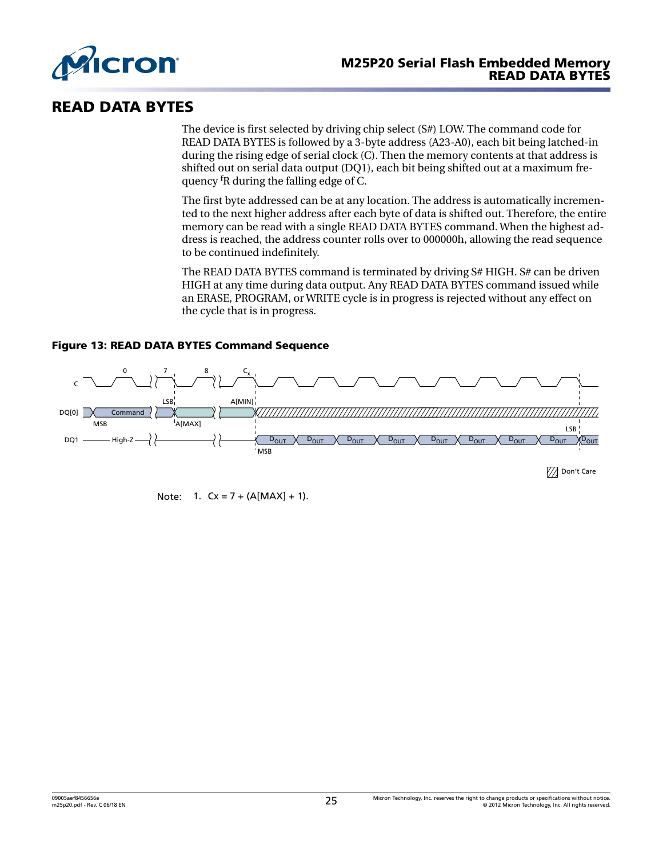<span id="page-24-0"></span>

### READ DATA BYTES

The device is first selected by driving chip select (S#) LOW. The command code for READ DATA BYTES is followed by a 3-byte address (A23-A0), each bit being latched-in during the rising edge of serial clock (C). Then the memory contents at that address is shifted out on serial data output (DQ1), each bit being shifted out at a maximum frequency fR during the falling edge of C.

The first byte addressed can be at any location. The address is automatically incremented to the next higher address after each byte of data is shifted out. Therefore, the entire memory can be read with a single READ DATA BYTES command. When the highest address is reached, the address counter rolls over to 000000h, allowing the read sequence to be continued indefinitely.

The READ DATA BYTES command is terminated by driving S# HIGH. S# can be driven HIGH at any time during data output. Any READ DATA BYTES command issued while an ERASE, PROGRAM, or WRITE cycle is in progress is rejected without any effect on the cycle that is in progress.



### Figure 13: READ DATA BYTES Command Sequence

Note:  $1. \,$  Cx = 7 + (A[MAX] + 1).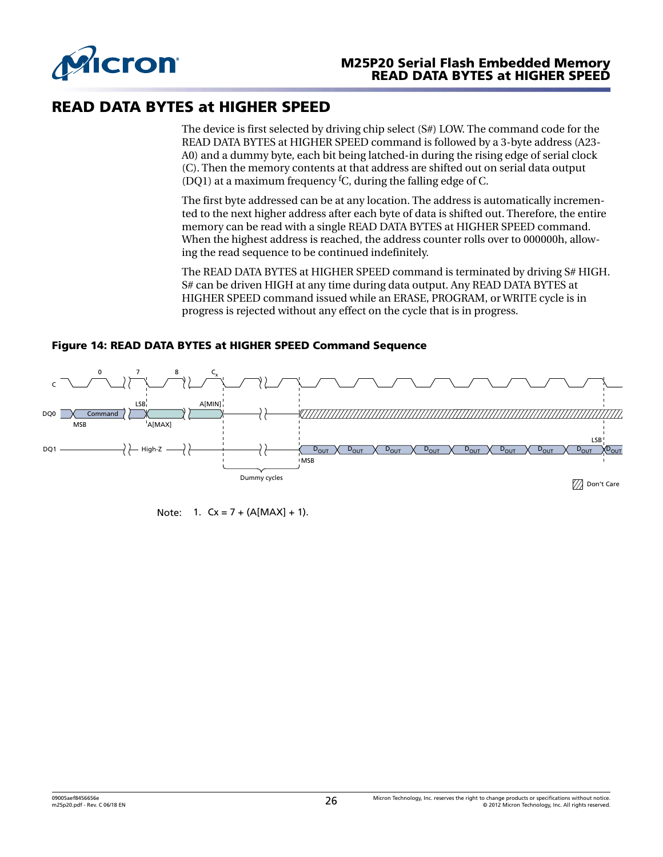<span id="page-25-0"></span>

### READ DATA BYTES at HIGHER SPEED

The device is first selected by driving chip select (S#) LOW. The command code for the READ DATA BYTES at HIGHER SPEED command is followed by a 3-byte address (A23- A0) and a dummy byte, each bit being latched-in during the rising edge of serial clock (C). Then the memory contents at that address are shifted out on serial data output (DQ1) at a maximum frequency fC, during the falling edge of C.

The first byte addressed can be at any location. The address is automatically incremented to the next higher address after each byte of data is shifted out. Therefore, the entire memory can be read with a single READ DATA BYTES at HIGHER SPEED command. When the highest address is reached, the address counter rolls over to 000000h, allowing the read sequence to be continued indefinitely.

The READ DATA BYTES at HIGHER SPEED command is terminated by driving S# HIGH. S# can be driven HIGH at any time during data output. Any READ DATA BYTES at HIGHER SPEED command issued while an ERASE, PROGRAM, or WRITE cycle is in progress is rejected without any effect on the cycle that is in progress.



### Figure 14: READ DATA BYTES at HIGHER SPEED Command Sequence

Note:  $1. \,$  Cx = 7 + (A[MAX] + 1).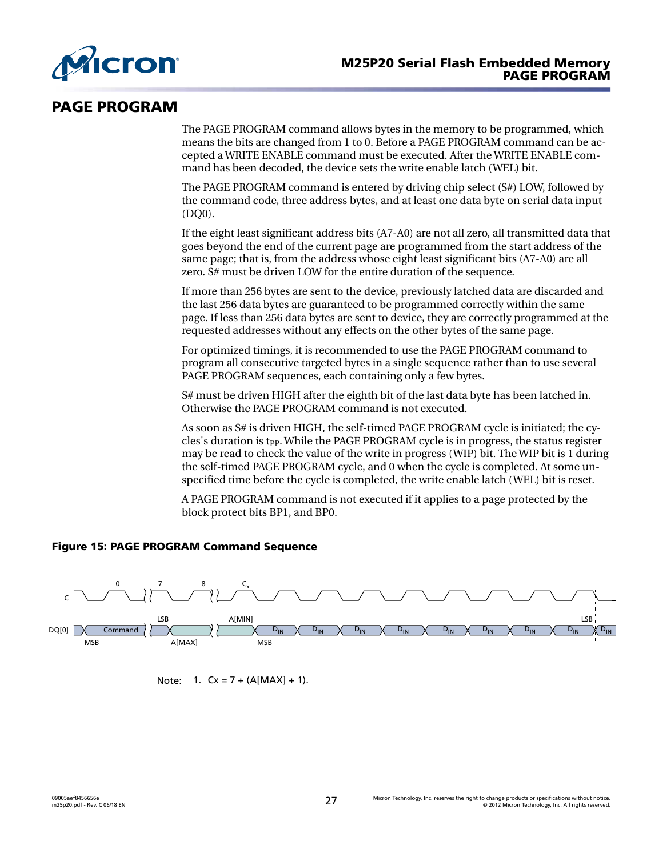<span id="page-26-0"></span>

### PAGE PROGRAM

The PAGE PROGRAM command allows bytes in the memory to be programmed, which means the bits are changed from 1 to 0. Before a PAGE PROGRAM command can be accepted a WRITE ENABLE command must be executed. After the WRITE ENABLE command has been decoded, the device sets the write enable latch (WEL) bit.

The PAGE PROGRAM command is entered by driving chip select (S#) LOW, followed by the command code, three address bytes, and at least one data byte on serial data input (DQ0).

If the eight least significant address bits (A7-A0) are not all zero, all transmitted data that goes beyond the end of the current page are programmed from the start address of the same page; that is, from the address whose eight least significant bits (A7-A0) are all zero. S# must be driven LOW for the entire duration of the sequence.

If more than 256 bytes are sent to the device, previously latched data are discarded and the last 256 data bytes are guaranteed to be programmed correctly within the same page. If less than 256 data bytes are sent to device, they are correctly programmed at the requested addresses without any effects on the other bytes of the same page.

For optimized timings, it is recommended to use the PAGE PROGRAM command to program all consecutive targeted bytes in a single sequence rather than to use several PAGE PROGRAM sequences, each containing only a few bytes.

S# must be driven HIGH after the eighth bit of the last data byte has been latched in. Otherwise the PAGE PROGRAM command is not executed.

As soon as S# is driven HIGH, the self-timed PAGE PROGRAM cycle is initiated; the cycles's duration is t<sub>PP</sub>. While the PAGE PROGRAM cycle is in progress, the status register may be read to check the value of the write in progress (WIP) bit. The WIP bit is 1 during the self-timed PAGE PROGRAM cycle, and 0 when the cycle is completed. At some unspecified time before the cycle is completed, the write enable latch (WEL) bit is reset.

A PAGE PROGRAM command is not executed if it applies to a page protected by the block protect bits BP1, and BP0.

### Figure 15: PAGE PROGRAM Command Sequence



Note:  $1. \,$  Cx = 7 + (A[MAX] + 1).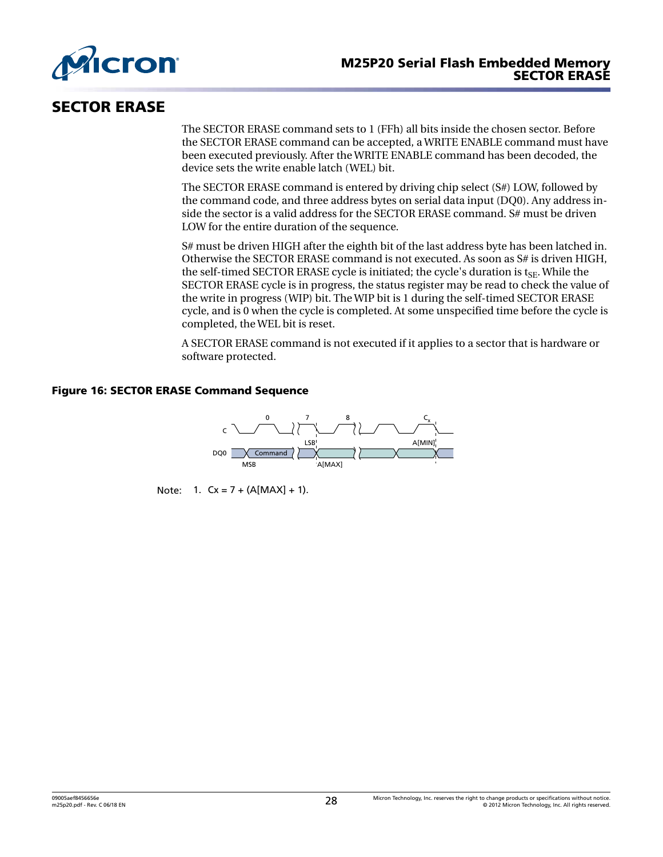<span id="page-27-0"></span>

### SECTOR ERASE

The SECTOR ERASE command sets to 1 (FFh) all bits inside the chosen sector. Before the SECTOR ERASE command can be accepted, a WRITE ENABLE command must have been executed previously. After the WRITE ENABLE command has been decoded, the device sets the write enable latch (WEL) bit.

The SECTOR ERASE command is entered by driving chip select (S#) LOW, followed by the command code, and three address bytes on serial data input (DQ0). Any address inside the sector is a valid address for the SECTOR ERASE command. S# must be driven LOW for the entire duration of the sequence.

S# must be driven HIGH after the eighth bit of the last address byte has been latched in. Otherwise the SECTOR ERASE command is not executed. As soon as S# is driven HIGH, the self-timed SECTOR ERASE cycle is initiated; the cycle's duration is  $t_{SE}$ . While the SECTOR ERASE cycle is in progress, the status register may be read to check the value of the write in progress (WIP) bit. The WIP bit is 1 during the self-timed SECTOR ERASE cycle, and is 0 when the cycle is completed. At some unspecified time before the cycle is completed, the WEL bit is reset.

A SECTOR ERASE command is not executed if it applies to a sector that is hardware or software protected.

### Figure 16: SECTOR ERASE Command Sequence



Note:  $1. \,$  Cx = 7 + (A[MAX] + 1).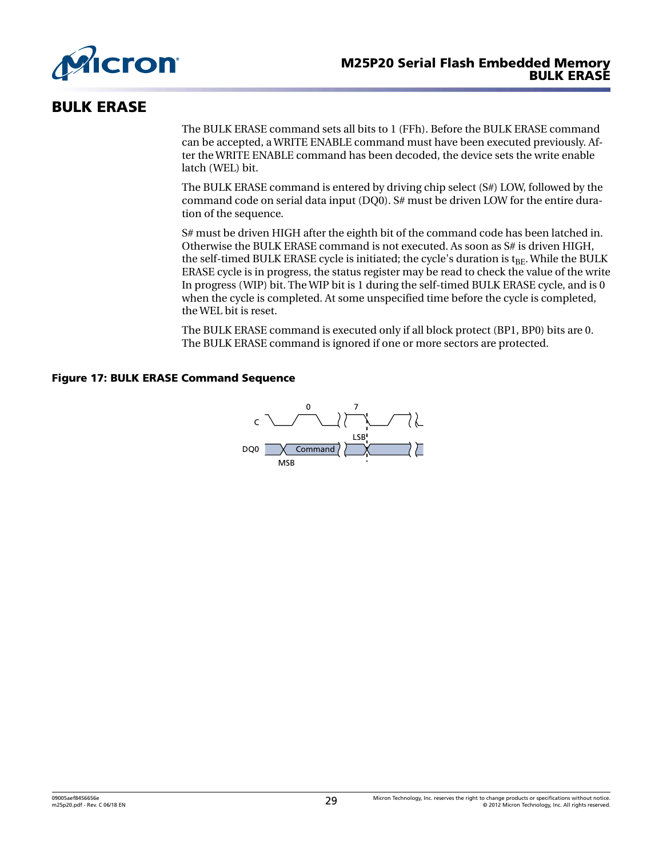<span id="page-28-0"></span>

### BULK ERASE

The BULK ERASE command sets all bits to 1 (FFh). Before the BULK ERASE command can be accepted, a WRITE ENABLE command must have been executed previously. After the WRITE ENABLE command has been decoded, the device sets the write enable latch (WEL) bit.

The BULK ERASE command is entered by driving chip select (S#) LOW, followed by the command code on serial data input (DQ0). S# must be driven LOW for the entire duration of the sequence.

S# must be driven HIGH after the eighth bit of the command code has been latched in. Otherwise the BULK ERASE command is not executed. As soon as S# is driven HIGH, the self-timed BULK ERASE cycle is initiated; the cycle's duration is  $t_{BF}$ . While the BULK ERASE cycle is in progress, the status register may be read to check the value of the write In progress (WIP) bit. The WIP bit is 1 during the self-timed BULK ERASE cycle, and is 0 when the cycle is completed. At some unspecified time before the cycle is completed, the WEL bit is reset.

The BULK ERASE command is executed only if all block protect (BP1, BP0) bits are 0. The BULK ERASE command is ignored if one or more sectors are protected.

### Figure 17: BULK ERASE Command Sequence

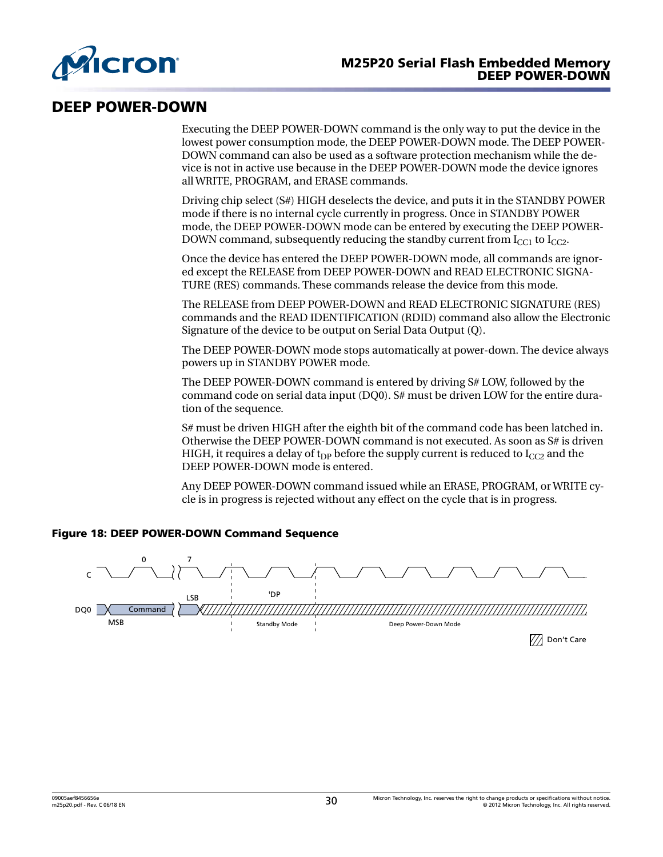<span id="page-29-0"></span>

### DEEP POWER-DOWN

Executing the DEEP POWER-DOWN command is the only way to put the device in the lowest power consumption mode, the DEEP POWER-DOWN mode. The DEEP POWER-DOWN command can also be used as a software protection mechanism while the device is not in active use because in the DEEP POWER-DOWN mode the device ignores all WRITE, PROGRAM, and ERASE commands.

Driving chip select (S#) HIGH deselects the device, and puts it in the STANDBY POWER mode if there is no internal cycle currently in progress. Once in STANDBY POWER mode, the DEEP POWER-DOWN mode can be entered by executing the DEEP POWER-DOWN command, subsequently reducing the standby current from  $I_{CC1}$  to  $I_{CC2}$ .

Once the device has entered the DEEP POWER-DOWN mode, all commands are ignored except the RELEASE from DEEP POWER-DOWN and READ ELECTRONIC SIGNA-TURE (RES) commands. These commands release the device from this mode.

The RELEASE from DEEP POWER-DOWN and READ ELECTRONIC SIGNATURE (RES) commands and the READ IDENTIFICATION (RDID) command also allow the Electronic Signature of the device to be output on Serial Data Output (Q).

The DEEP POWER-DOWN mode stops automatically at power-down. The device always powers up in STANDBY POWER mode.

The DEEP POWER-DOWN command is entered by driving S# LOW, followed by the command code on serial data input (DQ0). S# must be driven LOW for the entire duration of the sequence.

S# must be driven HIGH after the eighth bit of the command code has been latched in. Otherwise the DEEP POWER-DOWN command is not executed. As soon as S# is driven HIGH, it requires a delay of t<sub>DP</sub> before the supply current is reduced to  $I_{CC2}$  and the DEEP POWER-DOWN mode is entered.

Any DEEP POWER-DOWN command issued while an ERASE, PROGRAM, or WRITE cycle is in progress is rejected without any effect on the cycle that is in progress.



### Figure 18: DEEP POWER-DOWN Command Sequence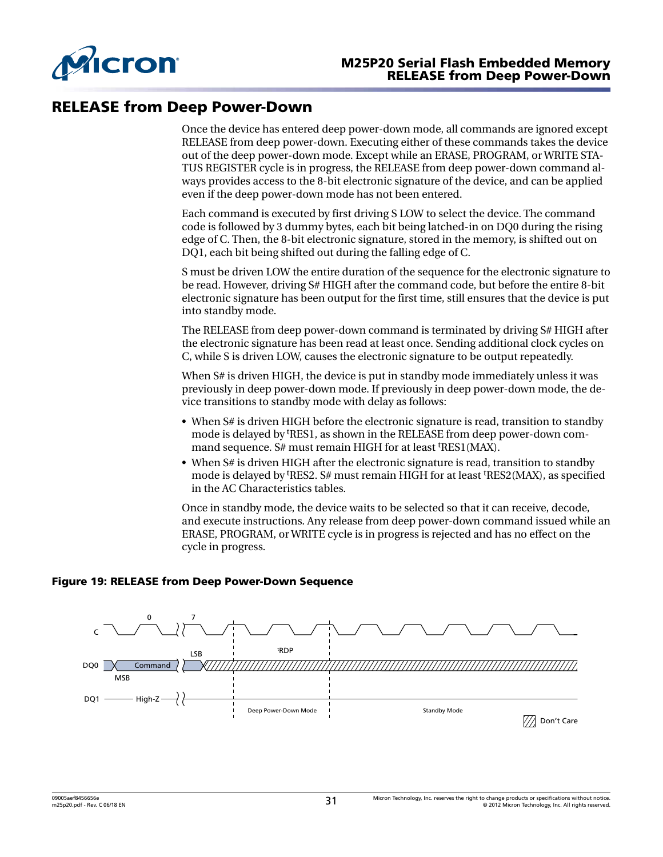<span id="page-30-0"></span>

### RELEASE from Deep Power-Down

Once the device has entered deep power-down mode, all commands are ignored except RELEASE from deep power-down. Executing either of these commands takes the device out of the deep power-down mode. Except while an ERASE, PROGRAM, or WRITE STA-TUS REGISTER cycle is in progress, the RELEASE from deep power-down command always provides access to the 8-bit electronic signature of the device, and can be applied even if the deep power-down mode has not been entered.

Each command is executed by first driving S LOW to select the device. The command code is followed by 3 dummy bytes, each bit being latched-in on DQ0 during the rising edge of C. Then, the 8-bit electronic signature, stored in the memory, is shifted out on DQ1, each bit being shifted out during the falling edge of C.

S must be driven LOW the entire duration of the sequence for the electronic signature to be read. However, driving S# HIGH after the command code, but before the entire 8-bit electronic signature has been output for the first time, still ensures that the device is put into standby mode.

The RELEASE from deep power-down command is terminated by driving S# HIGH after the electronic signature has been read at least once. Sending additional clock cycles on C, while S is driven LOW, causes the electronic signature to be output repeatedly.

When S# is driven HIGH, the device is put in standby mode immediately unless it was previously in deep power-down mode. If previously in deep power-down mode, the device transitions to standby mode with delay as follows:

- When S# is driven HIGH before the electronic signature is read, transition to standby mode is delayed by tRES1, as shown in the RELEASE from deep power-down command sequence. S# must remain HIGH for at least <sup>t</sup>RES1(MAX).
- When S# is driven HIGH after the electronic signature is read, transition to standby mode is delayed by <sup>t</sup>RES2. S# must remain HIGH for at least <sup>t</sup>RES2(MAX), as specified in the AC Characteristics tables.

Once in standby mode, the device waits to be selected so that it can receive, decode, and execute instructions. Any release from deep power-down command issued while an ERASE, PROGRAM, or WRITE cycle is in progress is rejected and has no effect on the cycle in progress.

### Figure 19: RELEASE from Deep Power-Down Sequence

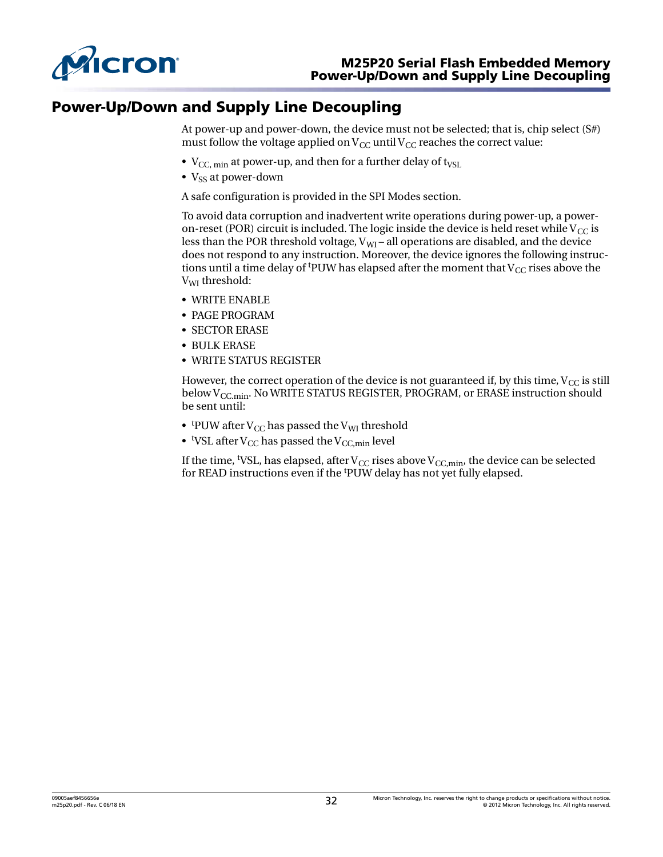<span id="page-31-0"></span>

### Power-Up/Down and Supply Line Decoupling

At power-up and power-down, the device must not be selected; that is, chip select (S#) must follow the voltage applied on  $V_{CC}$  until  $V_{CC}$  reaches the correct value:

- $V_{CC, min}$  at power-up, and then for a further delay of t<sub>VSL</sub>
- $V_{\rm ss}$  at power-down

A safe configuration is provided in the SPI Modes section.

To avoid data corruption and inadvertent write operations during power-up, a poweron-reset (POR) circuit is included. The logic inside the device is held reset while  $V_{CC}$  is less than the POR threshold voltage,  $V_{\text{WI}}$  – all operations are disabled, and the device does not respond to any instruction. Moreover, the device ignores the following instructions until a time delay of <sup>t</sup>PUW has elapsed after the moment that  $V_{CC}$  rises above the V<sub>WI</sub> threshold:

- WRITE ENABLE
- PAGE PROGRAM
- SECTOR ERASE
- BULK ERASE
- WRITE STATUS REGISTER

However, the correct operation of the device is not guaranteed if, by this time,  $V_{CC}$  is still below  $V_{CC,min}$ . No WRITE STATUS REGISTER, PROGRAM, or ERASE instruction should be sent until:

- tpUW after V<sub>CC</sub> has passed the V<sub>WI</sub> threshold
- $\bullet$  <sup>t</sup>VSL after V<sub>CC</sub> has passed the V<sub>CC,min</sub> level

If the time, <sup>t</sup>VSL, has elapsed, after  $V_{\text{CC}}$  rises above  $V_{\text{CC,min}}$ , the device can be selected for READ instructions even if the <sup>t</sup>PUW delay has not yet fully elapsed.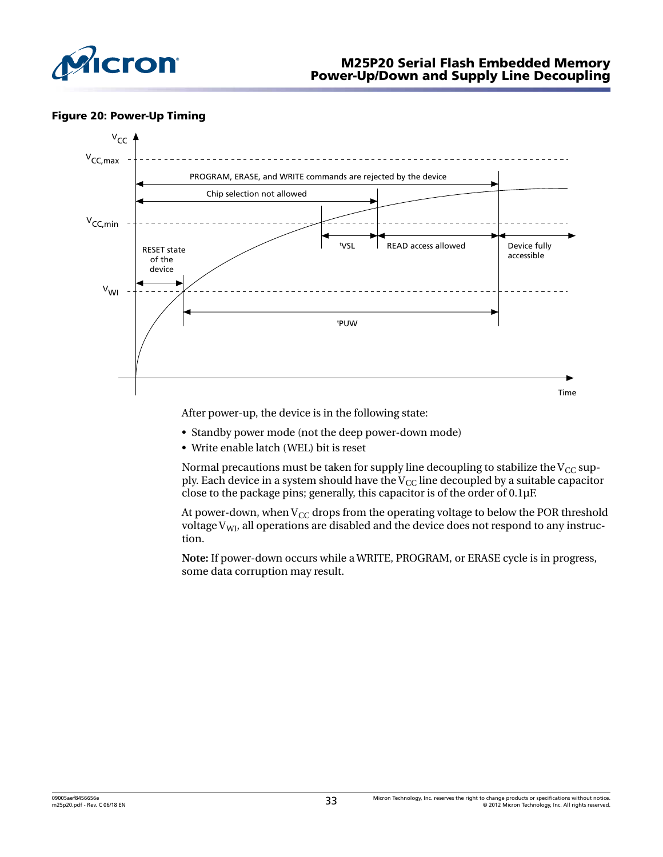<span id="page-32-0"></span>

#### Figure 20: Power-Up Timing



After power-up, the device is in the following state:

- Standby power mode (not the deep power-down mode)
- Write enable latch (WEL) bit is reset

Normal precautions must be taken for supply line decoupling to stabilize the  $V_{CC}$  supply. Each device in a system should have the  $V_{CC}$  line decoupled by a suitable capacitor close to the package pins; generally, this capacitor is of the order of 0.1µF.

At power-down, when  $V_{CC}$  drops from the operating voltage to below the POR threshold voltage  $V_{\text{WI}}$ , all operations are disabled and the device does not respond to any instruction.

**Note:** If power-down occurs while a WRITE, PROGRAM, or ERASE cycle is in progress, some data corruption may result.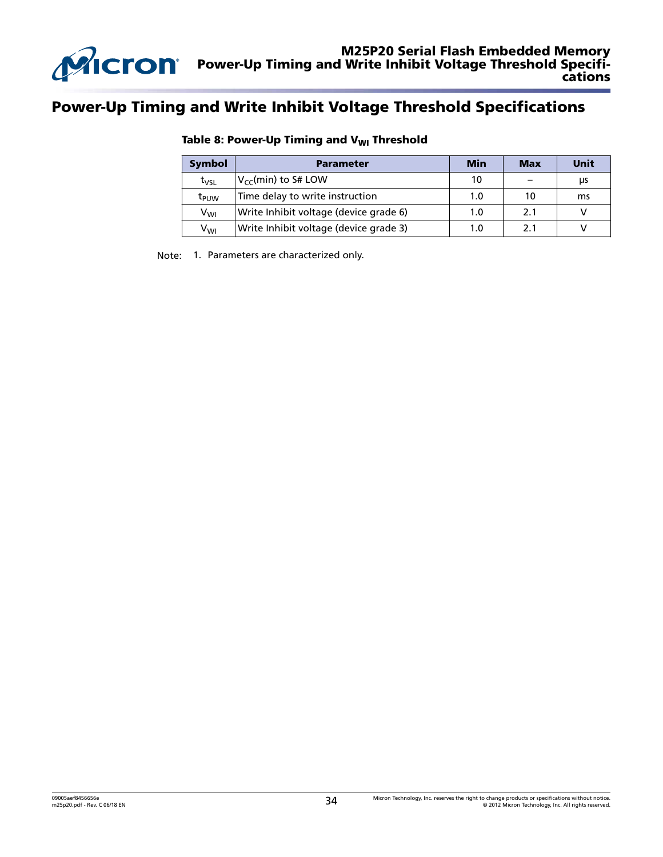<span id="page-33-0"></span>

### Power-Up Timing and Write Inhibit Voltage Threshold Specifications

| <b>Symbol</b>    | Parameter                              | <b>Min</b> | <b>Max</b> | <b>Unit</b> |
|------------------|----------------------------------------|------------|------------|-------------|
| $t_{VSL}$        | $V_{cc}$ (min) to S# LOW               | 10         |            | μs          |
| t <sub>PUW</sub> | Time delay to write instruction        | 1.0        | 10         | ms          |
| V <sub>WI</sub>  | Write Inhibit voltage (device grade 6) |            | 2.1        |             |
| V <sub>WI</sub>  | Write Inhibit voltage (device grade 3) | 1.0        | 2.1        |             |

### Table 8: Power-Up Timing and  $V_{WI}$  Threshold

Note: 1. Parameters are characterized only.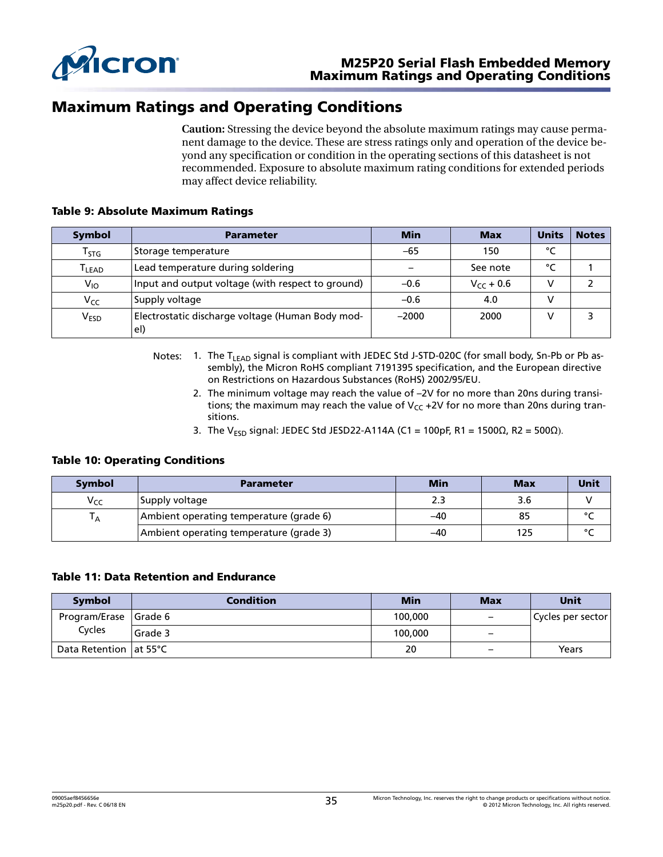<span id="page-34-0"></span>

### Maximum Ratings and Operating Conditions

**Caution:** Stressing the device beyond the absolute maximum ratings may cause permanent damage to the device. These are stress ratings only and operation of the device beyond any specification or condition in the operating sections of this datasheet is not recommended. Exposure to absolute maximum rating conditions for extended periods may affect device reliability.

#### Table 9: Absolute Maximum Ratings

| <b>Symbol</b>     | <b>Parameter</b>                                        | <b>Min</b> | <b>Max</b>     | Units | <b>Notes</b> |
|-------------------|---------------------------------------------------------|------------|----------------|-------|--------------|
| Tstg              | Storage temperature                                     | $-65$      | 150            | °C    |              |
| T <sub>LEAD</sub> | Lead temperature during soldering                       |            | See note       | °۲    |              |
| $V_{10}$          | Input and output voltage (with respect to ground)       | $-0.6$     | $V_{CC}$ + 0.6 |       |              |
| Vcc               | Supply voltage                                          | $-0.6$     | 4.0            |       |              |
| V <sub>ESD</sub>  | Electrostatic discharge voltage (Human Body mod-<br>el) | $-2000$    | 2000           |       |              |

- Notes: 1. The T<sub>LEAD</sub> signal is compliant with JEDEC Std J-STD-020C (for small body, Sn-Pb or Pb assembly), the Micron RoHS compliant 7191395 specification, and the European directive on Restrictions on Hazardous Substances (RoHS) 2002/95/EU.
	- 2. The minimum voltage may reach the value of –2V for no more than 20ns during transitions; the maximum may reach the value of  $V_{CC}$  +2V for no more than 20ns during transitions.
	- 3. The V<sub>ESD</sub> signal: JEDEC Std JESD22-A114A (C1 = 100pF, R1 = 1500Ω, R2 = 500Ω).

#### Table 10: Operating Conditions

| <b>Symbol</b>   | <b>Parameter</b>                        | <b>Min</b> | <b>Max</b> | <b>Unit</b> |
|-----------------|-----------------------------------------|------------|------------|-------------|
| V <sub>CC</sub> | Supply voltage                          |            | 3.6        |             |
| A               | Ambient operating temperature (grade 6) | -40        | 85         | $\circ$     |
|                 | Ambient operating temperature (grade 3) | -40        | 125        | $\sim$      |

#### Table 11: Data Retention and Endurance

| <b>Symbol</b>            | <b>Condition</b> | <b>Min</b> | <b>Max</b>                       | Unit              |
|--------------------------|------------------|------------|----------------------------------|-------------------|
| Program/Erase Grade 6    |                  | 100,000    | $\overline{\phantom{m}}$         | Cycles per sector |
| Cycles                   | Grade 3          | 100,000    | $\overbrace{\phantom{12322111}}$ |                   |
| Data Retention   at 55°C |                  | 20         | $\overline{\phantom{0}}$         | Years             |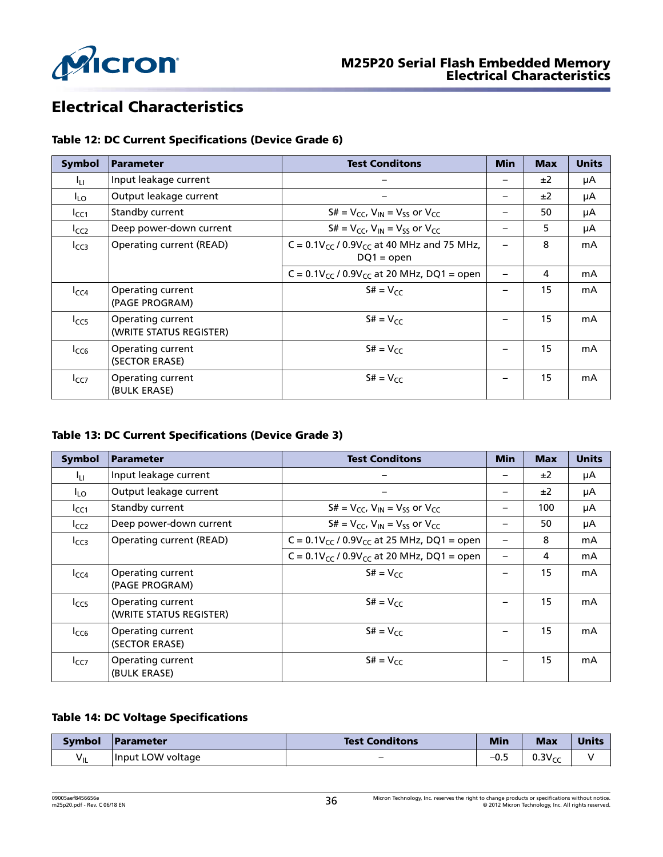<span id="page-35-0"></span>

# Electrical Characteristics

### Table 12: DC Current Specifications (Device Grade 6)

| <b>Symbol</b>   | <b>Parameter</b>                             | <b>Test Conditons</b>                                               | <b>Min</b>               | <b>Max</b> | <b>Units</b> |
|-----------------|----------------------------------------------|---------------------------------------------------------------------|--------------------------|------------|--------------|
| Iц.             | Input leakage current                        |                                                                     |                          | ±2         | μA           |
| I <sub>LO</sub> | Output leakage current                       | $\overline{\phantom{0}}$                                            | -                        | ±2         | μA           |
| $I_{CC1}$       | Standby current                              | $S# = V_{CC}$ , $V_{IN} = V_{SS}$ or $V_{CC}$                       |                          | 50         | μA           |
| $I_{CC2}$       | Deep power-down current                      | $S# = V_{CC}$ , $V_{IN} = V_{SS}$ or $V_{CC}$                       | —                        | 5          | μA           |
| $I_{CC3}$       | Operating current (READ)                     | C = $0.1V_{CC}$ / $0.9V_{CC}$ at 40 MHz and 75 MHz,<br>$DQ1 = open$ |                          | 8          | mA           |
|                 |                                              | C = $0.1V_{CC}$ / $0.9V_{CC}$ at 20 MHz, DQ1 = open                 | $\overline{\phantom{0}}$ | 4          | mA           |
| $I_{CC4}$       | Operating current<br>(PAGE PROGRAM)          | $S# = V_{CC}$                                                       |                          | 15         | mA           |
| $I_{CC5}$       | Operating current<br>(WRITE STATUS REGISTER) | $S# = V_{CC}$                                                       |                          | 15         | mA           |
| $I_{CC6}$       | Operating current<br>(SECTOR ERASE)          | $S# = V_{CC}$                                                       |                          | 15         | mA           |
| $I_{CC7}$       | Operating current<br>(BULK ERASE)            | $S# = V_{CC}$                                                       |                          | 15         | mA           |

### Table 13: DC Current Specifications (Device Grade 3)

| <b>Symbol</b> | <b>Parameter</b>                             | <b>Test Conditons</b>                               | <b>Min</b> | <b>Max</b> | <b>Units</b> |
|---------------|----------------------------------------------|-----------------------------------------------------|------------|------------|--------------|
| Iц            | Input leakage current                        |                                                     |            | ±2         | μA           |
| $I_{LO}$      | Output leakage current                       |                                                     |            | ±2         | μA           |
| $I_{CC1}$     | Standby current                              | $S# = V_{CC}$ , $V_{IN} = V_{SS}$ or $V_{CC}$       |            | 100        | μA           |
| $I_{CC2}$     | Deep power-down current                      | $S# = V_{CC}$ , $V_{IN} = V_{SS}$ or $V_{CC}$       |            | 50         | μA           |
| $I_{CC3}$     | Operating current (READ)                     | $C = 0.1 V_{cc} / 0.9 V_{cc}$ at 25 MHz, DQ1 = open |            | 8          | mA           |
|               |                                              | $C = 0.1 V_{CC} / 0.9 V_{CC}$ at 20 MHz, DQ1 = open |            | 4          | mA           |
| $I_{CC4}$     | Operating current<br>(PAGE PROGRAM)          | $St = V_{CC}$                                       |            | 15         | mA           |
| $I_{CC5}$     | Operating current<br>(WRITE STATUS REGISTER) | $S# = V_{CC}$                                       |            | 15         | mA           |
| $I_{CC6}$     | Operating current<br>(SECTOR ERASE)          | $St = V_{CC}$                                       |            | 15         | mA           |
| $I_{CC7}$     | Operating current<br>(BULK ERASE)            | $S# = V_{CC}$                                       |            | 15         | mA           |

### Table 14: DC Voltage Specifications

| <b>Symbol</b> | <b>Parameter</b>  | <b>Test Conditons</b> | <b>Min</b> | <b>Max</b>  | <b>Units</b> |
|---------------|-------------------|-----------------------|------------|-------------|--------------|
| VIL           | Input LOW voltage |                       | –∪.∠       | $0.3V_{CC}$ |              |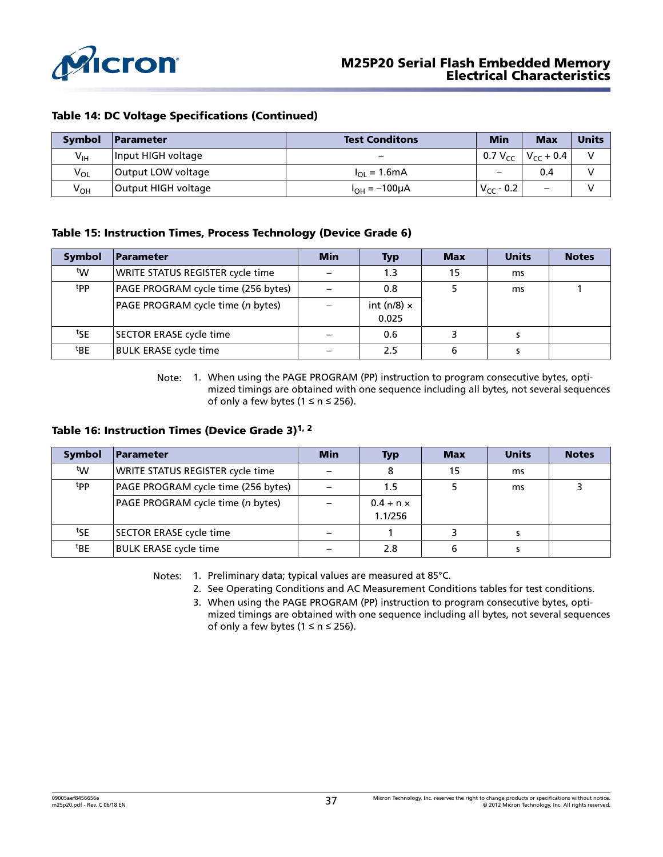<span id="page-36-0"></span>

### Table 14: DC Voltage Specifications (Continued)

| <b>Symbol</b>   | <b>Parameter</b>    | <b>Test Conditons</b>        | <b>Min</b>               | <b>Max</b>                         | <b>Units</b> |
|-----------------|---------------------|------------------------------|--------------------------|------------------------------------|--------------|
| $V_{\text{IH}}$ | Input HIGH voltage  | -                            |                          | 0.7 V <sub>CC</sub> $V_{cc}$ + 0.4 |              |
| $V_{OL}$        | Output LOW voltage  | $I_{\Omega} = 1.6 \text{mA}$ | $\overline{\phantom{0}}$ | 0.4                                |              |
| $V_{OH}$        | Output HIGH voltage | $I_{OH} = -100 \mu A$        | $V_{CC}$ - 0.2           | $\qquad \qquad -$                  |              |

#### Table 15: Instruction Times, Process Technology (Device Grade 6)

| <b>Symbol</b>   | <b>Parameter</b>                    | <b>Min</b> | <b>Typ</b>         | <b>Max</b> | <b>Units</b> | <b>Notes</b> |
|-----------------|-------------------------------------|------------|--------------------|------------|--------------|--------------|
| tw              | WRITE STATUS REGISTER cycle time    |            | 1.3                | 15         | ms           |              |
| tpp.            | PAGE PROGRAM cycle time (256 bytes) |            | 0.8                |            | ms           |              |
|                 | PAGE PROGRAM cycle time (n bytes)   |            | int (n/8) $\times$ |            |              |              |
|                 |                                     |            | 0.025              |            |              |              |
| <sup>t</sup> SE | <b>SECTOR ERASE cycle time</b>      |            | 0.6                |            |              |              |
| <sup>t</sup> BE | <b>BULK ERASE cycle time</b>        |            | 2.5                | 6          |              |              |

Note: 1. When using the PAGE PROGRAM (PP) instruction to program consecutive bytes, optimized timings are obtained with one sequence including all bytes, not several sequences of only a few bytes ( $1 \le n \le 256$ ).

### Table 16: Instruction Times (Device Grade 3)<sup>1, 2</sup>

| <b>Symbol</b>   | Parameter                           | <b>Min</b> | <b>Typ</b>                  | <b>Max</b> | <b>Units</b> | <b>Notes</b> |
|-----------------|-------------------------------------|------------|-----------------------------|------------|--------------|--------------|
| tw              | WRITE STATUS REGISTER cycle time    |            |                             | 15         | ms           |              |
| <sup>t</sup> PP | PAGE PROGRAM cycle time (256 bytes) |            | 1.5                         |            | ms           |              |
|                 | PAGE PROGRAM cycle time (n bytes)   |            | $0.4 + n \times$<br>1.1/256 |            |              |              |
| tSE             | SECTOR ERASE cycle time             |            |                             |            |              |              |
| <sup>t</sup> BE | <b>BULK ERASE cycle time</b>        |            | 2.8                         | 6          |              |              |

Notes: 1. Preliminary data; typical values are measured at 85°C.

2. See Operating Conditions and AC Measurement Conditions tables for test conditions.

3. When using the PAGE PROGRAM (PP) instruction to program consecutive bytes, optimized timings are obtained with one sequence including all bytes, not several sequences of only a few bytes ( $1 \le n \le 256$ ).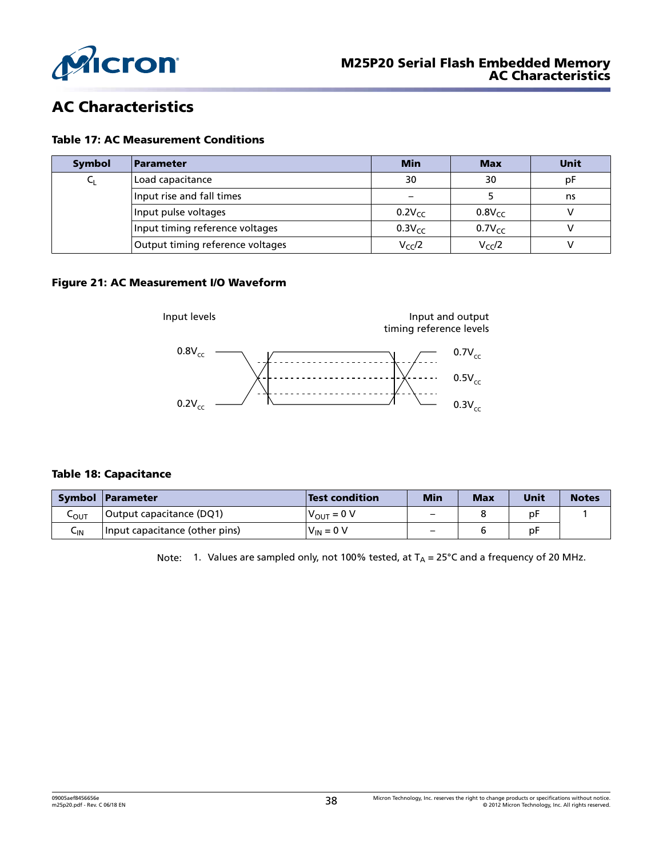<span id="page-37-0"></span>

# AC Characteristics

#### Table 17: AC Measurement Conditions

| Symbol               | <b>Parameter</b>                 | <b>Min</b>  | <b>Max</b>  | Unit |
|----------------------|----------------------------------|-------------|-------------|------|
|                      | Load capacitance                 | 30          | 30          | рF   |
|                      | Input rise and fall times        |             |             | ns   |
| Input pulse voltages |                                  | $0.2V_{cc}$ | $0.8V_{CC}$ |      |
|                      | Input timing reference voltages  | $0.3V_{CC}$ | $0.7V_{cc}$ |      |
|                      | Output timing reference voltages | $V_{CC}/2$  | $V_{CC}/2$  |      |

### Figure 21: AC Measurement I/O Waveform



#### Table 18: Capacitance

|         | Symbol Parameter               | <b>Test condition</b> | <b>Min</b>               | <b>Max</b> | Unit | <b>Notes</b> |
|---------|--------------------------------|-----------------------|--------------------------|------------|------|--------------|
| $-$ OUT | Output capacitance (DQ1)       | $V_{O IIT} = 0 V$     | $\overline{\phantom{0}}$ |            | рF   |              |
| ⊾տ      | Input capacitance (other pins) | $V_{\text{IN}} = 0 V$ | —                        |            | рF   |              |

Note: 1. Values are sampled only, not 100% tested, at  $T_A = 25^{\circ}$ C and a frequency of 20 MHz.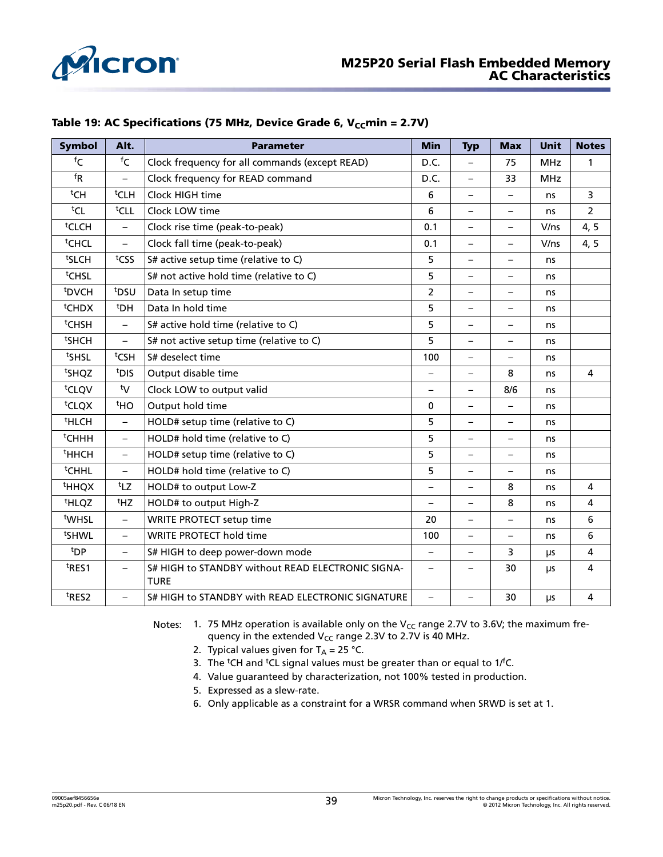<span id="page-38-0"></span>

| Table 19: AC Specifications (75 MHz, Device Grade 6, $V_{cc}$ min = 2.7V) |  |  |
|---------------------------------------------------------------------------|--|--|
|---------------------------------------------------------------------------|--|--|

| <b>Symbol</b>                | Alt.                        | <b>Parameter</b>                                                 | <b>Min</b>               | <b>Typ</b>               | <b>Max</b>               | <b>Unit</b> | <b>Notes</b>   |
|------------------------------|-----------------------------|------------------------------------------------------------------|--------------------------|--------------------------|--------------------------|-------------|----------------|
| ${}^{\mathsf{f}} \mathsf{C}$ | ${}^{\mathsf{f}}\mathsf{C}$ | Clock frequency for all commands (except READ)                   | D.C.                     | $\overline{\phantom{0}}$ | 75                       | <b>MHz</b>  | 1              |
| $f_{R}$                      | $\equiv$                    | Clock frequency for READ command                                 | D.C.                     |                          | 33                       | <b>MHz</b>  |                |
| tCH                          | <sup>t</sup> CLH            | Clock HIGH time                                                  | 6                        | $\overline{\phantom{0}}$ | $\qquad \qquad -$        | ns          | 3              |
| $tCL$                        | <sup>t</sup> CLL            | Clock LOW time                                                   | 6                        | —                        | $\overline{\phantom{0}}$ | ns          | $\overline{2}$ |
| <sup>t</sup> CLCH            | $\overline{\phantom{m}}$    | Clock rise time (peak-to-peak)                                   | 0.1                      | $\overline{\phantom{0}}$ | $\overline{\phantom{0}}$ | V/ns        | 4, 5           |
| <sup>t</sup> CHCL            | $\overline{\phantom{0}}$    | Clock fall time (peak-to-peak)                                   | 0.1                      | -                        | $\overline{\phantom{0}}$ | V/ns        | 4, 5           |
| <sup>t</sup> SLCH            | tcss                        | S# active setup time (relative to C)                             | 5                        | $\overline{\phantom{0}}$ | $\overline{\phantom{0}}$ | ns          |                |
| <sup>t</sup> CHSL            |                             | S# not active hold time (relative to C)                          | 5                        | $\overline{\phantom{0}}$ | $\overline{\phantom{0}}$ | ns          |                |
| <sup>t</sup> DVCH            | t <sub>DSU</sub>            | Data In setup time                                               | $\overline{2}$           |                          | $\overline{\phantom{0}}$ | ns          |                |
| <sup>t</sup> CHDX            | <sup>t</sup> DH             | Data In hold time                                                | 5                        | $\overline{\phantom{0}}$ | $\qquad \qquad -$        | ns          |                |
| <sup>t</sup> CHSH            | $\overline{\phantom{0}}$    | S# active hold time (relative to C)                              | 5                        |                          | $\overline{\phantom{0}}$ | ns          |                |
| <sup>t</sup> SHCH            | $\overline{\phantom{m}}$    | S# not active setup time (relative to C)                         | 5                        | $\overline{\phantom{0}}$ | $\overline{\phantom{0}}$ | ns          |                |
| ts <sub>HSL</sub>            | <sup>t</sup> CSH            | S# deselect time                                                 | 100                      | $\qquad \qquad -$        | $\overline{\phantom{0}}$ | ns          |                |
| tsHQZ                        | t <sub>DIS</sub>            | Output disable time                                              | $\qquad \qquad -$        |                          | 8                        | ns          | $\overline{4}$ |
| <sup>t</sup> CLQV            | ty                          | Clock LOW to output valid                                        | $\overline{\phantom{m}}$ | $\overline{\phantom{0}}$ | 8/6                      | ns          |                |
| <sup>t</sup> CLQX            | <sup>t</sup> HO             | Output hold time                                                 | $\mathbf{0}$             | $\overline{\phantom{0}}$ | $\overline{\phantom{0}}$ | ns          |                |
| <sup>t</sup> HLCH            | $\overline{\phantom{0}}$    | HOLD# setup time (relative to C)                                 | 5                        | $\overline{\phantom{0}}$ | $\overline{\phantom{0}}$ | ns          |                |
| <sup>t</sup> CHHH            | $\overline{\phantom{m}}$    | HOLD# hold time (relative to C)                                  | 5                        |                          | $\overline{\phantom{0}}$ | ns          |                |
| <sup>t</sup> HHCH            | $\overline{\phantom{0}}$    | HOLD# setup time (relative to C)                                 | 5                        | $\overline{\phantom{0}}$ | $\overline{\phantom{0}}$ | ns          |                |
| <sup>t</sup> CHHL            | $\overline{\phantom{0}}$    | HOLD# hold time (relative to C)                                  | 5                        | $\overline{\phantom{0}}$ | $\overline{\phantom{0}}$ | ns          |                |
| <sup>t</sup> HHQX            | t <sub>LZ</sub>             | HOLD# to output Low-Z                                            | $\overline{\phantom{0}}$ |                          | 8                        | ns          | 4              |
| <sup>t</sup> HLQZ            | <sup>t</sup> HZ             | HOLD# to output High-Z                                           | $\overline{\phantom{m}}$ | -                        | 8                        | ns          | $\overline{a}$ |
| <sup>t</sup> WHSL            | $\overline{\phantom{m}}$    | <b>WRITE PROTECT setup time</b>                                  | 20                       | $\overline{\phantom{0}}$ | $\overline{\phantom{0}}$ | ns          | 6              |
| <sup>t</sup> SHWL            | $\qquad \qquad -$           | <b>WRITE PROTECT hold time</b>                                   | 100                      | $\overline{\phantom{0}}$ | $\overline{\phantom{0}}$ | ns          | 6              |
| <sup>t</sup> DP              | $\overline{\phantom{m}}$    | S# HIGH to deep power-down mode                                  | $\qquad \qquad -$        | $\overline{\phantom{0}}$ | 3                        | μs          | 4              |
| t <sub>RES1</sub>            | $\overline{\phantom{0}}$    | S# HIGH to STANDBY without READ ELECTRONIC SIGNA-<br><b>TURE</b> | $\overline{\phantom{0}}$ |                          | 30                       | μs          | 4              |
| t <sub>RES2</sub>            | $\overline{\phantom{0}}$    | S# HIGH to STANDBY with READ ELECTRONIC SIGNATURE                | $\qquad \qquad -$        | $\overline{\phantom{0}}$ | 30                       | μs          | 4              |

Notes: 1. 75 MHz operation is available only on the V<sub>CC</sub> range 2.7V to 3.6V; the maximum frequency in the extended  $V_{CC}$  range 2.3V to 2.7V is 40 MHz.

- 2. Typical values given for  $T_A = 25$  °C.
- 3. The <sup>t</sup>CH and <sup>t</sup>CL signal values must be greater than or equal to  $1/fC$ .
- 4. Value guaranteed by characterization, not 100% tested in production.
- 5. Expressed as a slew-rate.
- 6. Only applicable as a constraint for a WRSR command when SRWD is set at 1.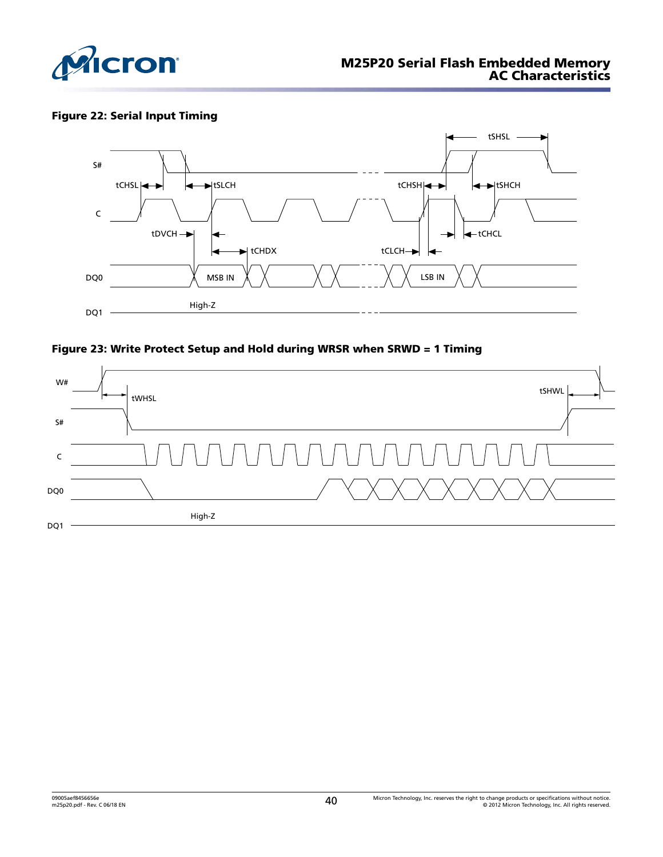<span id="page-39-0"></span>

### Figure 22: Serial Input Timing





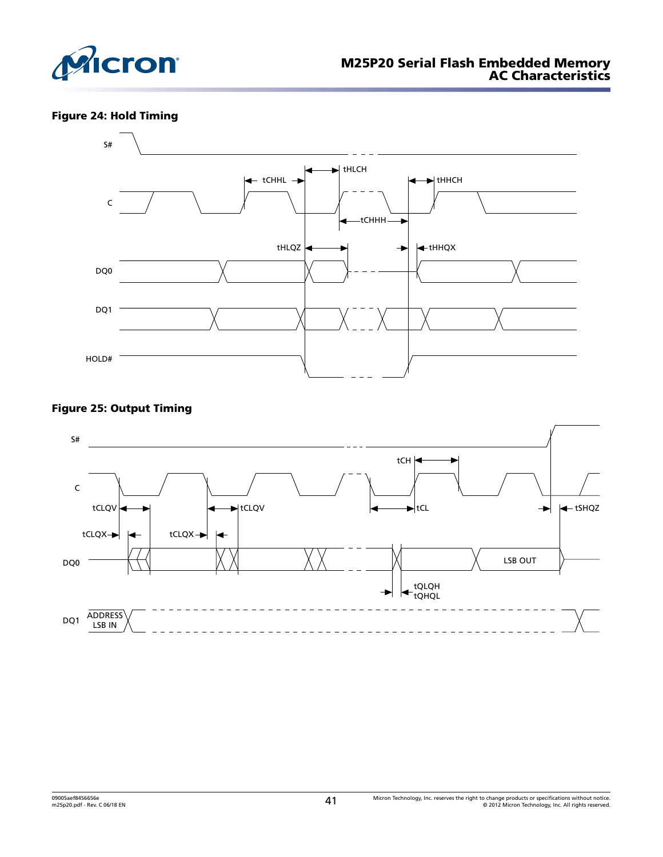<span id="page-40-0"></span>

### Figure 24: Hold Timing



### Figure 25: Output Timing

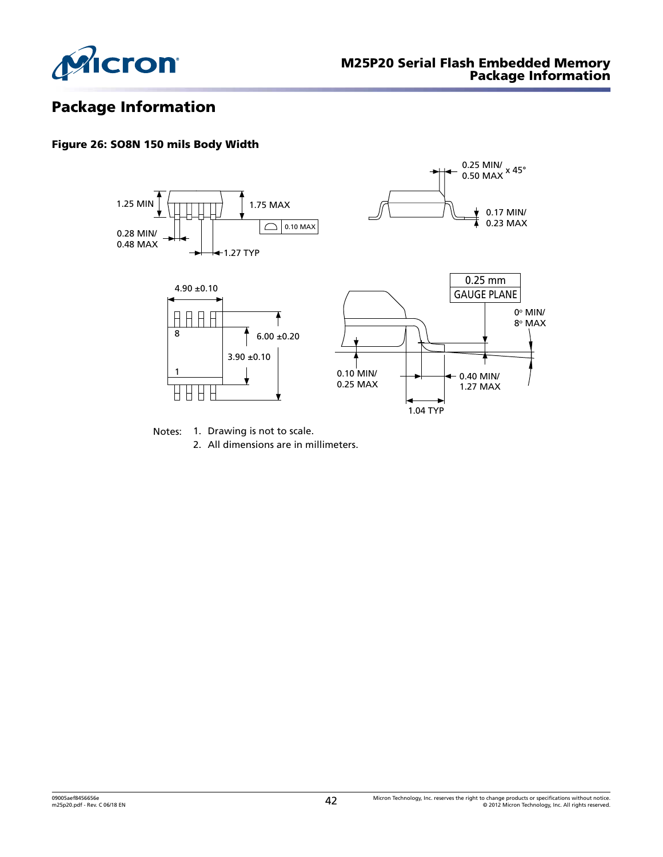<span id="page-41-0"></span>

# Package Information

### Figure 26: SO8N 150 mils Body Width



Notes: 1. Drawing is not to scale.

2. All dimensions are in millimeters.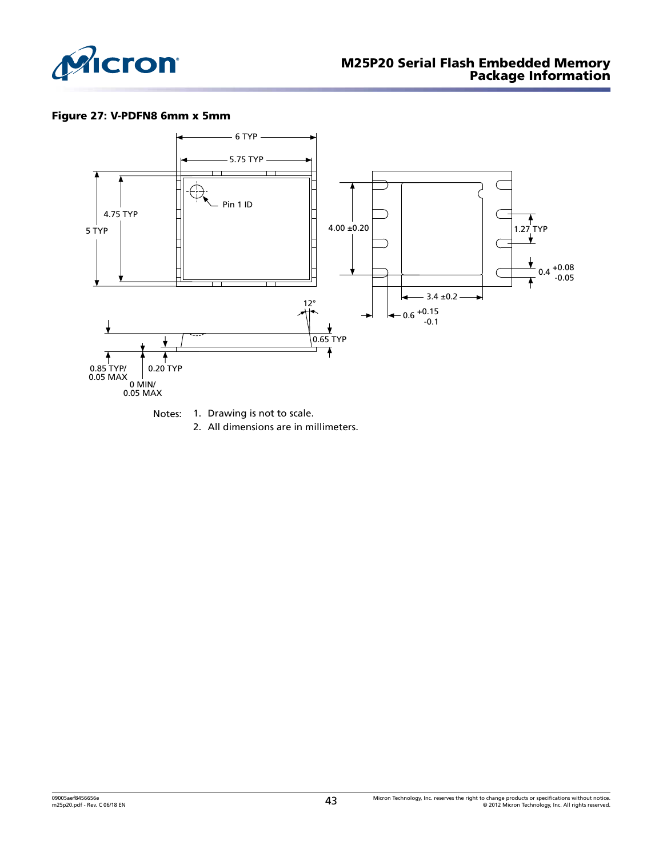<span id="page-42-0"></span>

### Figure 27: V-PDFN8 6mm x 5mm



2. All dimensions are in millimeters.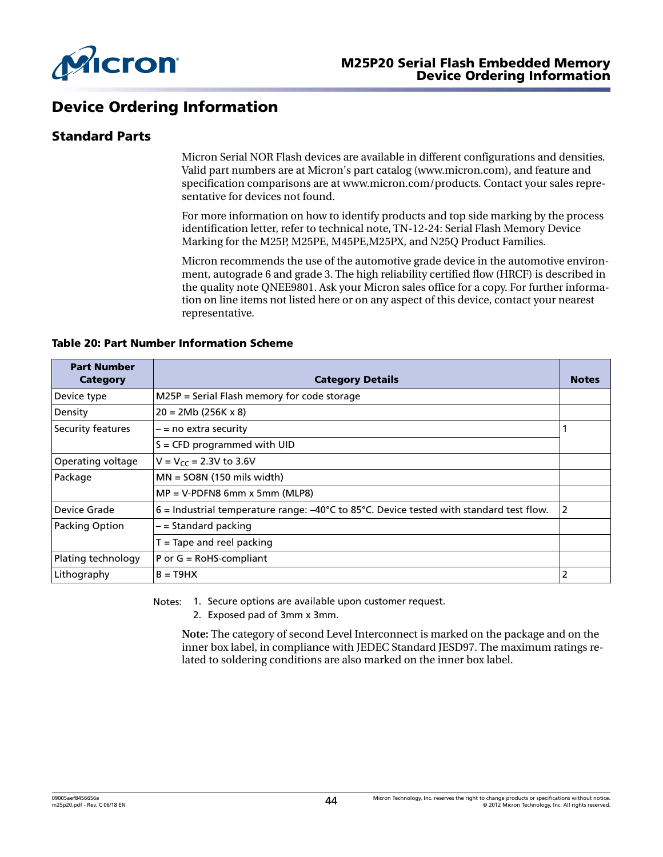<span id="page-43-0"></span>

### Device Ordering Information

### Standard Parts

Micron Serial NOR Flash devices are available in different configurations and densities. Valid part numbers are at Micron's part catalog (www.micron.com), and feature and specification comparisons are at www.micron.com/products. Contact your sales representative for devices not found.

For more information on how to identify products and top side marking by the process identification letter, refer to technical note, TN-12-24: Serial Flash Memory Device Marking for the M25P, M25PE, M45PE,M25PX, and N25Q Product Families.

Micron recommends the use of the automotive grade device in the automotive environment, autograde 6 and grade 3. The high reliability certified flow (HRCF) is described in the quality note QNEE9801. Ask your Micron sales office for a copy. For further information on line items not listed here or on any aspect of this device, contact your nearest representative.

|  |  | Table 20: Part Number Information Scheme |  |
|--|--|------------------------------------------|--|
|  |  |                                          |  |

| <b>Part Number</b><br>Category | <b>Category Details</b>                                                                                        | <b>Notes</b> |
|--------------------------------|----------------------------------------------------------------------------------------------------------------|--------------|
| Device type                    | $M25P =$ Serial Flash memory for code storage                                                                  |              |
| Density                        | $20 = 2Mb (256K x 8)$                                                                                          |              |
| Security features              | – = no extra security                                                                                          |              |
|                                | $S =$ CFD programmed with UID                                                                                  |              |
| Operating voltage              | $V = V_{cc} = 2.3V$ to 3.6V                                                                                    |              |
| Package                        | $MN = SO8N$ (150 mils width)                                                                                   |              |
|                                | $MP = V-PDFN8$ 6mm x 5mm (MLP8)                                                                                |              |
| Device Grade                   | $6$ = Industrial temperature range: $-40^{\circ}$ C to 85 $^{\circ}$ C. Device tested with standard test flow. | 2            |
| Packing Option                 | - = Standard packing                                                                                           |              |
|                                | $T =$ Tape and reel packing                                                                                    |              |
| Plating technology             | P or $G = \text{RoH}S$ -compliant                                                                              |              |
| Lithography                    | $B = T9HX$                                                                                                     | 2            |

Notes: 1. Secure options are available upon customer request.

2. Exposed pad of 3mm x 3mm.

**Note:** The category of second Level Interconnect is marked on the package and on the inner box label, in compliance with JEDEC Standard JESD97. The maximum ratings related to soldering conditions are also marked on the inner box label.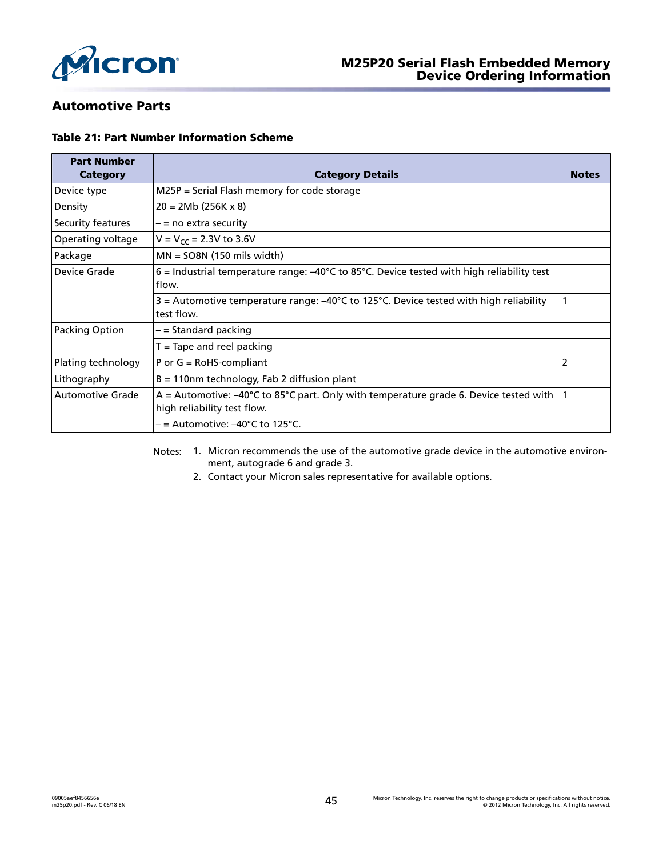<span id="page-44-0"></span>

### Automotive Parts

#### Table 21: Part Number Information Scheme

| <b>Part Number</b><br>Category | <b>Category Details</b>                                                                                                          | <b>Notes</b>   |
|--------------------------------|----------------------------------------------------------------------------------------------------------------------------------|----------------|
| Device type                    | $M25P =$ Serial Flash memory for code storage                                                                                    |                |
| Density                        | $20 = 2Mb (256K x 8)$                                                                                                            |                |
| Security features              | $-$ = no extra security                                                                                                          |                |
| Operating voltage              | $V = V_{cc} = 2.3V$ to 3.6V                                                                                                      |                |
| Package                        | $MN = 508N$ (150 mils width)                                                                                                     |                |
| Device Grade                   | $6$ = Industrial temperature range: $-40^{\circ}$ C to 85 $^{\circ}$ C. Device tested with high reliability test<br>flow.        |                |
|                                | $3$ = Automotive temperature range: $-40^{\circ}$ C to 125 $^{\circ}$ C. Device tested with high reliability<br>test flow.       |                |
| Packing Option                 | - = Standard packing                                                                                                             |                |
|                                | $T =$ Tape and reel packing                                                                                                      |                |
| Plating technology             | P or $G = \text{RoH}S$ -compliant                                                                                                | $\overline{2}$ |
| Lithography                    | $B = 110$ nm technology, Fab 2 diffusion plant                                                                                   |                |
| Automotive Grade               | A = Automotive: $-40^{\circ}$ C to 85°C part. Only with temperature grade 6. Device tested with  <br>high reliability test flow. |                |
|                                | $=$ = Automotive: –40°C to 125°C.                                                                                                |                |

Notes: 1. Micron recommends the use of the automotive grade device in the automotive environment, autograde 6 and grade 3.

2. Contact your Micron sales representative for available options.